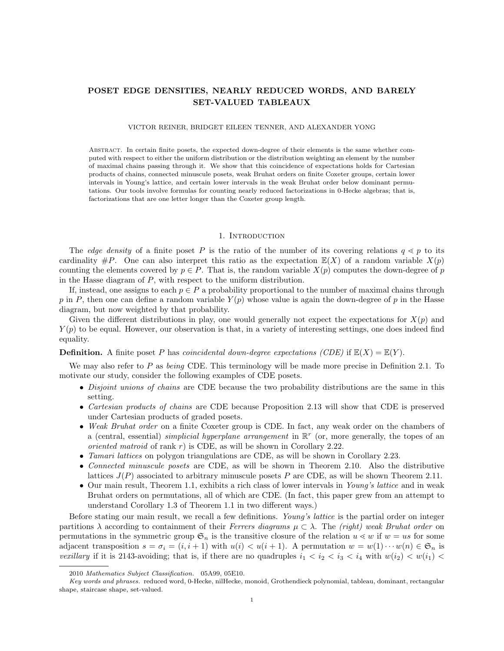# POSET EDGE DENSITIES, NEARLY REDUCED WORDS, AND BARELY SET-VALUED TABLEAUX

### VICTOR REINER, BRIDGET EILEEN TENNER, AND ALEXANDER YONG

Abstract. In certain finite posets, the expected down-degree of their elements is the same whether computed with respect to either the uniform distribution or the distribution weighting an element by the number of maximal chains passing through it. We show that this coincidence of expectations holds for Cartesian products of chains, connected minuscule posets, weak Bruhat orders on finite Coxeter groups, certain lower intervals in Young's lattice, and certain lower intervals in the weak Bruhat order below dominant permutations. Our tools involve formulas for counting nearly reduced factorizations in 0-Hecke algebras; that is, factorizations that are one letter longer than the Coxeter group length.

#### 1. INTRODUCTION

The edge density of a finite poset P is the ratio of the number of its covering relations  $q \leq p$  to its cardinality  $\#P$ . One can also interpret this ratio as the expectation  $\mathbb{E}(X)$  of a random variable  $X(p)$ counting the elements covered by  $p \in P$ . That is, the random variable  $X(p)$  computes the down-degree of p in the Hasse diagram of P, with respect to the uniform distribution.

If, instead, one assigns to each  $p \in P$  a probability proportional to the number of maximal chains through p in P, then one can define a random variable  $Y(p)$  whose value is again the down-degree of p in the Hasse diagram, but now weighted by that probability.

Given the different distributions in play, one would generally not expect the expectations for  $X(p)$  and  $Y(p)$  to be equal. However, our observation is that, in a variety of interesting settings, one does indeed find equality.

**Definition.** A finite poset P has *coincidental down-degree expectations (CDE)* if  $\mathbb{E}(X) = \mathbb{E}(Y)$ .

We may also refer to  $P$  as *being* CDE. This terminology will be made more precise in Definition 2.1. To motivate our study, consider the following examples of CDE posets.

- Disjoint unions of chains are CDE because the two probability distributions are the same in this setting.
- Cartesian products of chains are CDE because Proposition 2.13 will show that CDE is preserved under Cartesian products of graded posets.
- Weak Bruhat order on a finite Coxeter group is CDE. In fact, any weak order on the chambers of a (central, essential) *simplicial hyperplane arrangement* in  $\mathbb{R}^r$  (or, more generally, the topes of an *oriented matroid* of rank  $r$ ) is CDE, as will be shown in Corollary 2.22.
- *Tamari lattices* on polygon triangulations are CDE, as will be shown in Corollary 2.23.
- Connected minuscule posets are CDE, as will be shown in Theorem 2.10. Also the distributive lattices  $J(P)$  associated to arbitrary minuscule posets P are CDE, as will be shown Theorem 2.11.
- Our main result, Theorem 1.1, exhibits a rich class of lower intervals in Young's lattice and in weak Bruhat orders on permutations, all of which are CDE. (In fact, this paper grew from an attempt to understand Corollary 1.3 of Theorem 1.1 in two different ways.)

Before stating our main result, we recall a few definitions. Young's lattice is the partial order on integer partitions  $\lambda$  according to containment of their Ferrers diagrams  $\mu \subset \lambda$ . The (right) weak Bruhat order on permutations in the symmetric group  $\mathfrak{S}_n$  is the transitive closure of the relation  $u \leq w$  if  $w = us$  for some adjacent transposition  $s = \sigma_i = (i, i + 1)$  with  $u(i) < u(i + 1)$ . A permutation  $w = w(1) \cdots w(n) \in \mathfrak{S}_n$  is vexillary if it is 2143-avoiding; that is, if there are no quadruples  $i_1 < i_2 < i_3 < i_4$  with  $w(i_2) < w(i_1) <$ 

<sup>2010</sup> Mathematics Subject Classification. 05A99, 05E10.

Key words and phrases. reduced word, 0-Hecke, nilHecke, monoid, Grothendieck polynomial, tableau, dominant, rectangular shape, staircase shape, set-valued.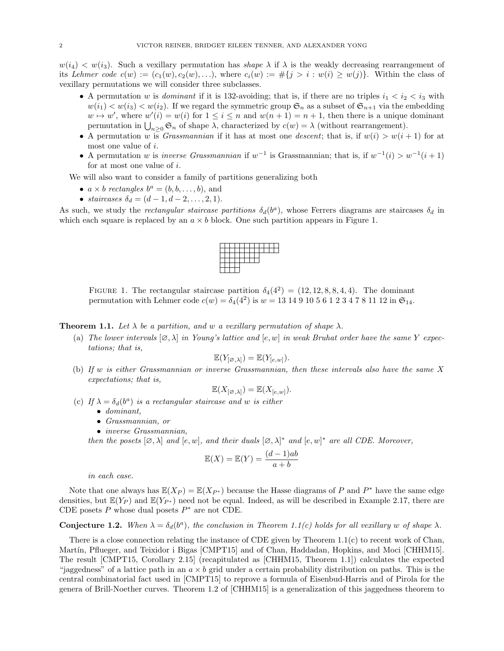$w(i_4) < w(i_3)$ . Such a vexillary permutation has *shape*  $\lambda$  if  $\lambda$  is the weakly decreasing rearrangement of its Lehmer code  $c(w) := (c_1(w), c_2(w), \ldots)$ , where  $c_i(w) := \#\{j > i : w(i) \ge w(j)\}\.$  Within the class of vexillary permutations we will consider three subclasses.

- A permutation w is *dominant* if it is 132-avoiding; that is, if there are no triples  $i_1 < i_2 < i_3$  with  $w(i_1) < w(i_3) < w(i_2)$ . If we regard the symmetric group  $\mathfrak{S}_n$  as a subset of  $\mathfrak{S}_{n+1}$  via the embedding  $w \mapsto w'$ , where  $w'(i) = w(i)$  for  $1 \leq i \leq n$  and  $w(n + 1) = n + 1$ , then there is a unique dominant permutation in  $\bigcup_{n\geq 0} \mathfrak{S}_n$  of shape  $\lambda$ , characterized by  $c(w) = \lambda$  (without rearrangement).
- A permutation w is *Grassmannian* if it has at most one *descent*; that is, if  $w(i) > w(i + 1)$  for at most one value of i.
- A permutation w is *inverse Grassmannian* if  $w^{-1}$  is Grassmannian; that is, if  $w^{-1}(i) > w^{-1}(i+1)$ for at most one value of i.

We will also want to consider a family of partitions generalizing both

- $a \times b$  rectangles  $b^a = (b, b, \dots, b)$ , and
- staircases  $\delta_d = (d 1, d 2, \dots, 2, 1).$

As such, we study the *rectangular staircase partitions*  $\delta_d(b^a)$ , whose Ferrers diagrams are staircases  $\delta_d$  in which each square is replaced by an  $a \times b$  block. One such partition appears in Figure 1.

FIGURE 1. The rectangular staircase partition  $\delta_4(4^2) = (12, 12, 8, 8, 4, 4)$ . The dominant permutation with Lehmer code  $c(w) = \delta_4(4^2)$  is  $w = 13 \ 14 \ 9 \ 10 \ 5 \ 6 \ 1 \ 2 \ 3 \ 4 \ 7 \ 8 \ 11 \ 12$  in  $\mathfrak{S}_{14}$ .

**Theorem 1.1.** Let  $\lambda$  be a partition, and w a vexillary permutation of shape  $\lambda$ .

(a) The lower intervals  $[\varnothing, \lambda]$  in Young's lattice and  $[e, w]$  in weak Bruhat order have the same Y expectations; that is,

$$
\mathbb{E}(Y_{[\varnothing,\lambda]}) = \mathbb{E}(Y_{[e,w]}).
$$

(b) If w is either Grassmannian or inverse Grassmannian, then these intervals also have the same X expectations; that is,

$$
\mathbb{E}(X_{[\varnothing,\lambda]}) = \mathbb{E}(X_{[e,w]}).
$$

- (c) If  $\lambda = \delta_d(b^a)$  is a rectangular staircase and w is either
	- dominant,
	- Grassmannian, or
	- *inverse Grassmannian*,

then the posets  $[\emptyset, \lambda]$  and  $[e, w]$ , and their duals  $[\emptyset, \lambda]^*$  and  $[e, w]^*$  are all CDE. Moreover,

$$
\mathbb{E}(X) = \mathbb{E}(Y) = \frac{(d-1)ab}{a+b}
$$

in each case.

Note that one always has  $\mathbb{E}(X_P) = \mathbb{E}(X_{P^*})$  because the Hasse diagrams of P and  $P^*$  have the same edge densities, but  $\mathbb{E}(Y_P)$  and  $\mathbb{E}(Y_{P^*})$  need not be equal. Indeed, as will be described in Example 2.17, there are CDE posets  $P$  whose dual posets  $P^*$  are not CDE.

# **Conjecture 1.2.** When  $\lambda = \delta_d(b^a)$ , the conclusion in Theorem 1.1(c) holds for all vexillary w of shape  $\lambda$ .

There is a close connection relating the instance of CDE given by Theorem 1.1(c) to recent work of Chan, Martín, Pflueger, and Teixidor i Bigas [CMPT15] and of Chan, Haddadan, Hopkins, and Moci [CHHM15]. The result [CMPT15, Corollary 2.15] (recapitulated as [CHHM15, Theorem 1.1]) calculates the expected "jaggedness" of a lattice path in an  $a \times b$  grid under a certain probability distribution on paths. This is the central combinatorial fact used in [CMPT15] to reprove a formula of Eisenbud-Harris and of Pirola for the genera of Brill-Noether curves. Theorem 1.2 of [CHHM15] is a generalization of this jaggedness theorem to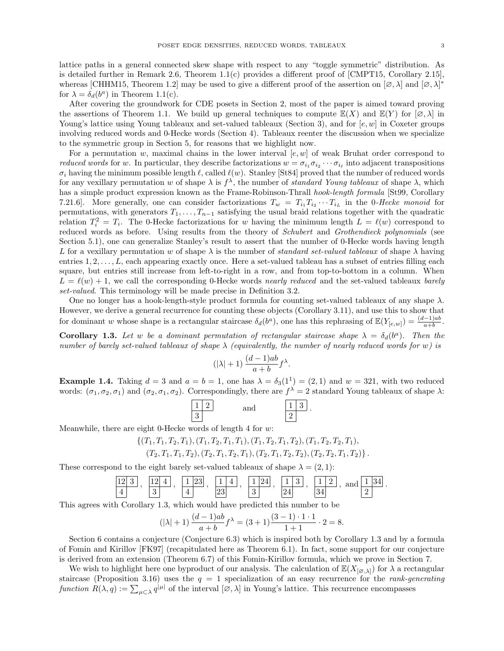lattice paths in a general connected skew shape with respect to any "toggle symmetric" distribution. As is detailed further in Remark 2.6, Theorem 1.1(c) provides a different proof of [CMPT15, Corollary 2.15], whereas [CHHM15, Theorem 1.2] may be used to give a different proof of the assertion on  $[\varnothing, \lambda]$  and  $[\varnothing, \lambda]^*$ for  $\lambda = \delta_d(b^a)$  in Theorem 1.1(c).

After covering the groundwork for CDE posets in Section 2, most of the paper is aimed toward proving the assertions of Theorem 1.1. We build up general techniques to compute  $\mathbb{E}(X)$  and  $\mathbb{E}(Y)$  for  $[\varnothing, \lambda]$  in Young's lattice using Young tableaux and set-valued tableaux (Section 3), and for  $[e, w]$  in Coxeter groups involving reduced words and 0-Hecke words (Section 4). Tableaux reenter the discussion when we specialize to the symmetric group in Section 5, for reasons that we highlight now.

For a permutation w, maximal chains in the lower interval  $[e, w]$  of weak Bruhat order correspond to *reduced words* for w. In particular, they describe factorizations  $w = \sigma_{i_1} \sigma_{i_2} \cdots \sigma_{i_\ell}$  into adjacent transpositions  $\sigma_i$  having the minimum possible length  $\ell$ , called  $\ell(w)$ . Stanley [St84] proved that the number of reduced words for any vexillary permutation w of shape  $\lambda$  is  $f^{\lambda}$ , the number of standard Young tableaux of shape  $\lambda$ , which has a simple product expression known as the Frame-Robinson-Thrall hook-length formula [St99, Corollary 7.21.6. More generally, one can consider factorizations  $T_w = T_{i_1} T_{i_2} \cdots T_{i_L}$  in the 0-Hecke monoid for permutations, with generators  $T_1, \ldots, T_{n-1}$  satisfying the usual braid relations together with the quadratic relation  $T_i^2 = T_i$ . The 0-Hecke factorizations for w having the minimum length  $L = \ell(w)$  correspond to reduced words as before. Using results from the theory of Schubert and Grothendieck polynomials (see Section 5.1), one can generalize Stanley's result to assert that the number of 0-Hecke words having length L for a vexillary permutation w of shape  $\lambda$  is the number of *standard set-valued tableaux* of shape  $\lambda$  having entries  $1, 2, \ldots, L$ , each appearing exactly once. Here a set-valued tableau has a subset of entries filling each square, but entries still increase from left-to-right in a row, and from top-to-bottom in a column. When  $L = \ell(w) + 1$ , we call the corresponding 0-Hecke words nearly reduced and the set-valued tableaux barely set-valued. This terminology will be made precise in Definition 3.2.

One no longer has a hook-length-style product formula for counting set-valued tableaux of any shape  $\lambda$ . However, we derive a general recurrence for counting these objects (Corollary 3.11), and use this to show that for dominant w whose shape is a rectangular staircase  $\delta_d(b^a)$ , one has this rephrasing of  $\mathbb{E}(Y_{[e,w]}) = \frac{(d-1)ab}{a+b}$ .

**Corollary 1.3.** Let w be a dominant permutation of rectangular staircase shape  $\lambda = \delta_d(b^a)$ . Then the number of barely set-valued tableaux of shape  $\lambda$  (equivalently, the number of nearly reduced words for w) is

$$
(|\lambda|+1)\frac{(d-1)ab}{a+b}f^{\lambda}.
$$

**Example 1.4.** Taking  $d = 3$  and  $a = b = 1$ , one has  $\lambda = \delta_3(1^1) = (2, 1)$  and  $w = 321$ , with two reduced words:  $(\sigma_1, \sigma_2, \sigma_1)$  and  $(\sigma_2, \sigma_1, \sigma_2)$ . Correspondingly, there are  $f^{\lambda} = 2$  standard Young tableaux of shape  $\lambda$ :

$$
\begin{array}{|c|c|}\n\hline\n1 & 2 \\
\hline\n3 & \text{and} \\
\hline\n2 & \text{.}\n\end{array}
$$

Meanwhile, there are eight 0-Hecke words of length 4 for  $w$ :

$$
\{(T_1, T_1, T_2, T_1), (T_1, T_2, T_1, T_1), (T_1, T_2, T_1, T_2), (T_1, T_2, T_2, T_1),
$$
  

$$
(T_2, T_1, T_1, T_2), (T_2, T_1, T_2, T_1), (T_2, T_1, T_2, T_2), (T_2, T_2, T_1, T_2)\}.
$$

These correspond to the eight barely set-valued tableaux of shape  $\lambda = (2, 1)$ :

$$
\frac{12}{4}, \frac{12}{3}, \frac{124}{4}, \frac{123}{23}, \frac{14}{23}, \frac{124}{3}, \frac{13}{24}, \frac{13}{34}, \frac{12}{34}
$$

.

This agrees with Corollary 1.3, which would have predicted this number to be

$$
(|\lambda|+1)\frac{(d-1)ab}{a+b}f^{\lambda} = (3+1)\frac{(3-1)\cdot 1\cdot 1}{1+1}\cdot 2 = 8.
$$

Section 6 contains a conjecture (Conjecture 6.3) which is inspired both by Corollary 1.3 and by a formula of Fomin and Kirillov [FK97] (recapitulated here as Theorem 6.1). In fact, some support for our conjecture is derived from an extension (Theorem 6.7) of this Fomin-Kirillov formula, which we prove in Section 7.

We wish to highlight here one byproduct of our analysis. The calculation of  $\mathbb{E}(X_{[\varnothing,\lambda]})$  for  $\lambda$  a rectangular staircase (Proposition 3.16) uses the  $q = 1$  specialization of an easy recurrence for the *rank-generating* function  $R(\lambda, q) := \sum_{\mu \subset \lambda} q^{|\mu|}$  of the interval  $[\varnothing, \lambda]$  in Young's lattice. This recurrence encompasses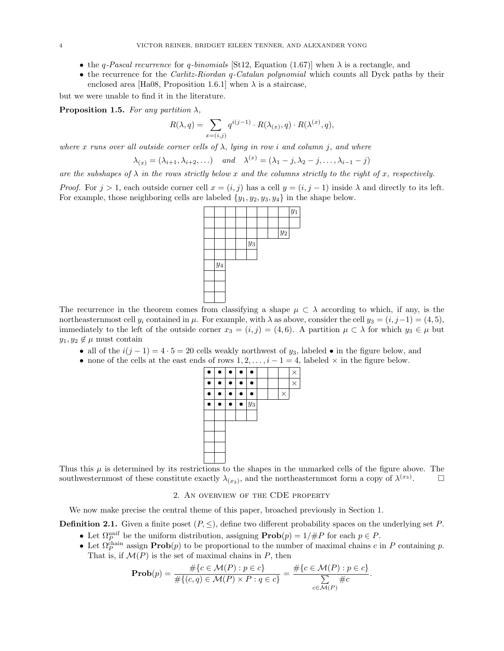- the q-Pascal recurrence for q-binomials [St12, Equation (1.67)] when  $\lambda$  is a rectangle, and
- the recurrence for the *Carlitz-Riordan q-Catalan polynomial* which counts all Dyck paths by their enclosed area [Ha08, Proposition 1.6.1] when  $\lambda$  is a staircase,

but we were unable to find it in the literature.

**Proposition 1.5.** For any partition  $\lambda$ ,

$$
R(\lambda, q) = \sum_{x=(i,j)} q^{i(j-1)} \cdot R(\lambda_{(x)}, q) \cdot R(\lambda^{(x)}, q),
$$

where x runs over all outside corner cells of  $\lambda$ , lying in row i and column j, and where

$$
\lambda_{(x)} = (\lambda_{i+1}, \lambda_{i+2}, \dots) \quad and \quad \lambda^{(x)} = (\lambda_1 - j, \lambda_2 - j, \dots, \lambda_{i-1} - j)
$$

are the subshapes of  $\lambda$  in the rows strictly below x and the columns strictly to the right of x, respectively.

*Proof.* For  $j > 1$ , each outside corner cell  $x = (i, j)$  has a cell  $y = (i, j - 1)$  inside  $\lambda$  and directly to its left. For example, those neighboring cells are labeled  $\{y_1, y_2, y_3, y_4\}$  in the shape below.



The recurrence in the theorem comes from classifying a shape  $\mu \subset \lambda$  according to which, if any, is the northeasternmost cell  $y_i$  contained in  $\mu$ . For example, with  $\lambda$  as above, consider the cell  $y_3 = (i, j-1) = (4, 5)$ , immediately to the left of the outside corner  $x_3 = (i, j) = (4, 6)$ . A partition  $\mu \subset \lambda$  for which  $y_3 \in \mu$  but  $y_1, y_2 \notin \mu$  must contain

- all of the  $i(j-1) = 4 \cdot 5 = 20$  cells weakly northwest of  $y_3$ , labeled in the figure below, and
- none of the cells at the east ends of rows  $1, 2, \ldots, i 1 = 4$ , labeled  $\times$  in the figure below.



Thus this  $\mu$  is determined by its restrictions to the shapes in the unmarked cells of the figure above. The southwesternmost of these constitute exactly  $\lambda_{(x_3)}$ , and the northeasternmost form a copy of  $\lambda^{(x_3)}$  $\Box$ 

### 2. An overview of the CDE property

We now make precise the central theme of this paper, broached previously in Section 1.

**Definition 2.1.** Given a finite poset  $(P, \leq)$ , define two different probability spaces on the underlying set P.

- Let  $\Omega_P^{\text{unif}}$  be the uniform distribution, assigning  $\text{Prob}(p) = 1/#P$  for each  $p \in P$ .
- Let  $\Omega_P^{\text{chain}}$  assign  $\text{Prob}(p)$  to be proportional to the number of maximal chains c in P containing p. That is, if  $\mathcal{M}(P)$  is the set of maximal chains in P, then

$$
\mathbf{Prob}(p) = \frac{\#\{c \in \mathcal{M}(P) : p \in c\}}{\#\{(c, q) \in \mathcal{M}(P) \times P : q \in c\}} = \frac{\#\{c \in \mathcal{M}(P) : p \in c\}}{\sum_{c \in \mathcal{M}(P)} \#c}.
$$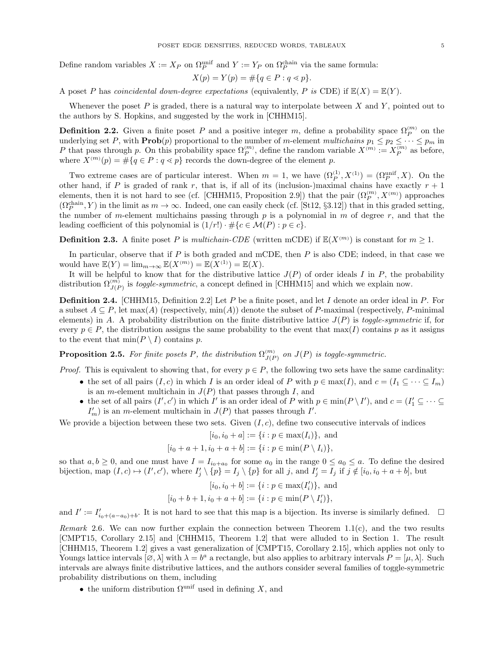Define random variables  $X := X_P$  on  $\Omega_P^{\text{unif}}$  and  $Y := Y_P$  on  $\Omega_P^{\text{chain}}$  via the same formula:

$$
X(p) = Y(p) = \# \{ q \in P : q \lessdot p \}.
$$

A poset P has coincidental down-degree expectations (equivalently, P is CDE) if  $\mathbb{E}(X) = \mathbb{E}(Y)$ .

Whenever the poset  $P$  is graded, there is a natural way to interpolate between  $X$  and  $Y$ , pointed out to the authors by S. Hopkins, and suggested by the work in [CHHM15].

**Definition 2.2.** Given a finite poset P and a positive integer m, define a probability space  $\Omega_P^{(m)}$  on the underlying set P, with  $\text{Prob}(p)$  proportional to the number of m-element multichains  $p_1 \leq p_2 \leq \cdots \leq p_m$  in P that pass through p. On this probability space  $\Omega_P^{(m)}$ , define the random variable  $X^{(m)} := X_P^{(m)}$  as before, where  $X^{(m)}(p) = \#\{q \in P : q \leq p\}$  records the down-degree of the element p.

Two extreme cases are of particular interest. When  $m = 1$ , we have  $(\Omega_P^{(1)}, X^{(1)}) = (\Omega_P^{\text{unif}}, X)$ . On the other hand, if P is graded of rank r, that is, if all of its (inclusion-)maximal chains have exactly  $r + 1$ elements, then it is not hard to see (cf. [CHHM15, Proposition 2.9]) that the pair  $(\Omega_P^{(m)}, X^{(m)})$  approaches  $(\Omega_P^{\text{chain}}, Y)$  in the limit as  $m \to \infty$ . Indeed, one can easily check (cf. [St12, §3.12]) that in this graded setting, the number of m-element multichains passing through  $p$  is a polynomial in  $m$  of degree  $r$ , and that the leading coefficient of this polynomial is  $(1/r!) \cdot \#\{c \in \mathcal{M}(P) : p \in c\}.$ 

**Definition 2.3.** A finite poset P is multichain-CDE (written mCDE) if  $\mathbb{E}(X^{(m)})$  is constant for  $m \geq 1$ .

In particular, observe that if  $P$  is both graded and mCDE, then  $P$  is also CDE; indeed, in that case we would have  $\mathbb{E}(Y) = \lim_{m \to \infty} \mathbb{E}(X^{(m)}) = \mathbb{E}(X^{(1)}) = \mathbb{E}(X)$ .

It will be helpful to know that for the distributive lattice  $J(P)$  of order ideals I in P, the probability distribution  $\Omega_{J(P)}^{(m)}$  is *toggle-symmetric*, a concept defined in [CHHM15] and which we explain now.

**Definition 2.4.** [CHHM15, Definition 2.2] Let P be a finite poset, and let I denote an order ideal in P. For a subset  $A \subseteq P$ , let max(A) (respectively, min(A)) denote the subset of P-maximal (respectively, P-minimal elements) in A. A probability distribution on the finite distributive lattice  $J(P)$  is toggle-symmetric if, for every  $p \in P$ , the distribution assigns the same probability to the event that  $\max(I)$  contains p as it assigns to the event that  $\min(P \setminus I)$  contains p.

**Proposition 2.5.** For finite posets P, the distribution  $\Omega_{1/F}^{(m)}$  $\left(\begin{smallmatrix} (m) \ J(P) \end{smallmatrix}\right)$  is toggle-symmetric.

*Proof.* This is equivalent to showing that, for every  $p \in P$ , the following two sets have the same cardinality:

- the set of all pairs  $(I, c)$  in which I is an order ideal of P with  $p \in \max(I)$ , and  $c = (I_1 \subseteq \cdots \subseteq I_m)$ is an *m*-element multichain in  $J(P)$  that passes through I, and
- the set of all pairs  $(I', c')$  in which I' is an order ideal of P with  $p \in \min(P \setminus I')$ , and  $c = (I'_1 \subseteq \cdots \subseteq I'_n)$  $I'_m$ ) is an *m*-element multichain in  $J(P)$  that passes through I'.

We provide a bijection between these two sets. Given  $(I, c)$ , define two consecutive intervals of indices

$$
[i_0, i_0 + a] := \{i : p \in max(I_i)\}\
$$
, and

$$
[i_0 + a + 1, i_0 + a + b] := \{i : p \in \min(P \setminus I_i)\},\
$$

so that  $a, b \geq 0$ , and one must have  $I = I_{i_0+a_0}$  for some  $a_0$  in the range  $0 \leq a_0 \leq a$ . To define the desired bijection, map  $(I, c) \mapsto (I', c')$ , where  $I'_j \setminus \{p\} = I_j \setminus \{p\}$  for all j, and  $I'_j = I_j$  if  $j \notin [i_0, i_0 + a + b]$ , but

$$
[i_0, i_0 + b] := \{ i : p \in \max(I'_i) \}, \text{ and}
$$

$$
[i_0 + b + 1, i_0 + a + b] := \{i : p \in \min(P \setminus I'_i)\},\
$$

and  $I' := I'_{i_0+(a-a_0)+b}$ . It is not hard to see that this map is a bijection. Its inverse is similarly defined.  $\Box$ 

Remark 2.6. We can now further explain the connection between Theorem 1.1(c), and the two results [CMPT15, Corollary 2.15] and [CHHM15, Theorem 1.2] that were alluded to in Section 1. The result [CHHM15, Theorem 1.2] gives a vast generalization of [CMPT15, Corollary 2.15], which applies not only to Youngs lattice intervals  $[\varnothing, \lambda]$  with  $\lambda = b^a$  a rectangle, but also applies to arbitrary intervals  $P = [\mu, \lambda]$ . Such intervals are always finite distributive lattices, and the authors consider several families of toggle-symmetric probability distributions on them, including

• the uniform distribution  $\Omega^{\text{unif}}$  used in defining X, and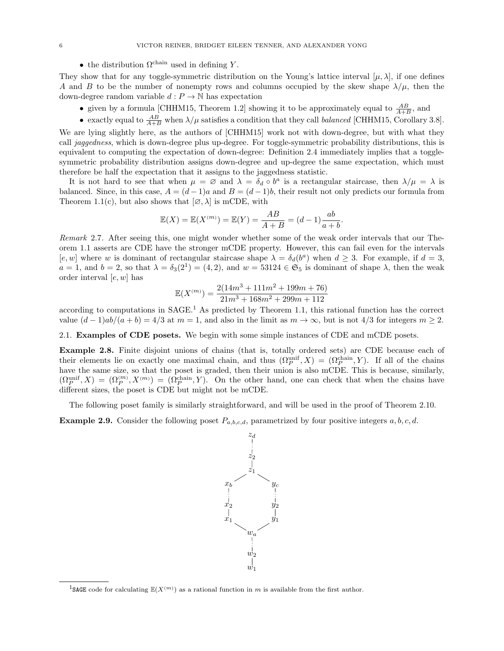• the distribution  $\Omega^{\text{chain}}$  used in defining Y.

They show that for any toggle-symmetric distribution on the Young's lattice interval  $[\mu, \lambda]$ , if one defines A and B to be the number of nonempty rows and columns occupied by the skew shape  $\lambda/\mu$ , then the down-degree random variable  $d : P \to \mathbb{N}$  has expectation

- given by a formula [CHHM15, Theorem 1.2] showing it to be approximately equal to  $\frac{AB}{A+B}$ , and
- exactly equal to  $\frac{AB}{A+B}$  when  $\lambda/\mu$  satisfies a condition that they call *balanced* [CHHM15, Corollary 3.8].

We are lying slightly here, as the authors of [CHHM15] work not with down-degree, but with what they call jaggedness, which is down-degree plus up-degree. For toggle-symmetric probability distributions, this is equivalent to computing the expectation of down-degree: Definition 2.4 immediately implies that a togglesymmetric probability distribution assigns down-degree and up-degree the same expectation, which must therefore be half the expectation that it assigns to the jaggedness statistic.

It is not hard to see that when  $\mu = \emptyset$  and  $\lambda = \delta_d \circ b^a$  is a rectangular staircase, then  $\lambda/\mu = \lambda$  is balanced. Since, in this case,  $A = (d-1)a$  and  $B = (d-1)b$ , their result not only predicts our formula from Theorem 1.1(c), but also shows that  $[\emptyset, \lambda]$  is mCDE, with

$$
\mathbb{E}(X) = \mathbb{E}(X^{(m)}) = \mathbb{E}(Y) = \frac{AB}{A+B} = (d-1)\frac{ab}{a+b}.
$$

Remark 2.7. After seeing this, one might wonder whether some of the weak order intervals that our Theorem 1.1 asserts are CDE have the stronger mCDE property. However, this can fail even for the intervals [e, w] where w is dominant of rectangular staircase shape  $\lambda = \delta_d(b^a)$  when  $d \geq 3$ . For example, if  $d = 3$ ,  $a = 1$ , and  $b = 2$ , so that  $\lambda = \delta_3(2^1) = (4, 2)$ , and  $w = 53124 \in \mathfrak{S}_5$  is dominant of shape  $\lambda$ , then the weak order interval  $[e, w]$  has

$$
\mathbb{E}(X^{(m)}) = \frac{2(14m^3 + 111m^2 + 199m + 76)}{21m^3 + 168m^2 + 299m + 112}
$$

according to computations in SAGE.<sup>1</sup> As predicted by Theorem 1.1, this rational function has the correct value  $(d-1)ab/(a+b) = 4/3$  at  $m = 1$ , and also in the limit as  $m \to \infty$ , but is not  $4/3$  for integers  $m \ge 2$ .

2.1. Examples of CDE posets. We begin with some simple instances of CDE and mCDE posets.

Example 2.8. Finite disjoint unions of chains (that is, totally ordered sets) are CDE because each of their elements lie on exactly one maximal chain, and thus  $(\Omega_P^{\text{unif}}, X) = (\Omega_P^{\text{chain}}, Y)$ . If all of the chains have the same size, so that the poset is graded, then their union is also mCDE. This is because, similarly,  $(\Omega_P^{\text{unif}}, X) = (\Omega_P^{(m)}, X^{(m)}) = (\Omega_P^{\text{chain}}, Y)$ . On the other hand, one can check that when the chains have different sizes, the poset is CDE but might not be mCDE.

The following poset family is similarly straightforward, and will be used in the proof of Theorem 2.10.

**Example 2.9.** Consider the following poset  $P_{a,b,c,d}$ , parametrized by four positive integers  $a, b, c, d$ .



<sup>&</sup>lt;sup>1</sup>SAGE code for calculating  $\mathbb{E}(X^{(m)})$  as a rational function in m is available from the first author.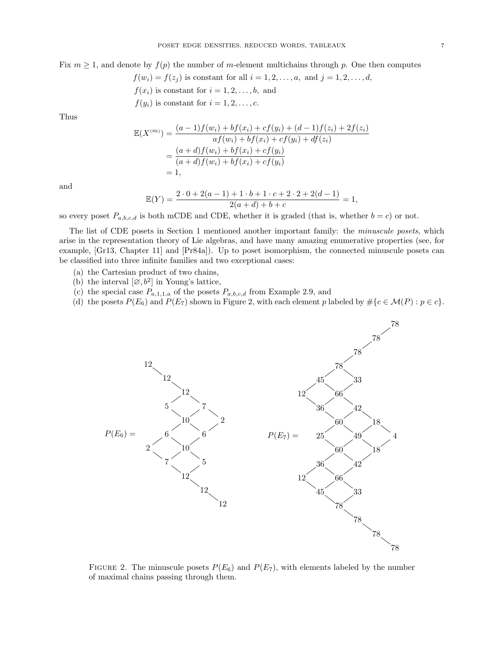Fix  $m \geq 1$ , and denote by  $f(p)$  the number of m-element multichains through p. One then computes

 $f(w_i) = f(z_j)$  is constant for all  $i = 1, 2, ..., a$ , and  $j = 1, 2, ..., d$ ,

- $f(x_i)$  is constant for  $i = 1, 2, \ldots, b$ , and
- $f(y_i)$  is constant for  $i = 1, 2, \ldots, c$ .

Thus

$$
\mathbb{E}(X^{(m)}) = \frac{(a-1)f(w_i) + bf(x_i) + cf(y_i) + (d-1)f(z_i) + 2f(z_i)}{af(w_i) + bf(x_i) + cf(y_i) + df(z_i)}
$$
  
= 
$$
\frac{(a+d)f(w_i) + bf(x_i) + cf(y_i)}{(a+d)f(w_i) + bf(x_i) + cf(y_i)}
$$
  
= 1,

and

$$
\mathbb{E}(Y) = \frac{2 \cdot 0 + 2(a-1) + 1 \cdot b + 1 \cdot c + 2 \cdot 2 + 2(d-1)}{2(a+d) + b + c} = 1,
$$

so every poset  $P_{a,b,c,d}$  is both mCDE and CDE, whether it is graded (that is, whether  $b = c$ ) or not.

The list of CDE posets in Section 1 mentioned another important family: the minuscule posets, which arise in the representation theory of Lie algebras, and have many amazing enumerative properties (see, for example, [Gr13, Chapter 11] and [Pr84a]). Up to poset isomorphism, the connected minuscule posets can be classified into three infinite families and two exceptional cases:

- (a) the Cartesian product of two chains,
- (b) the interval  $[\varnothing, b^2]$  in Young's lattice,
- (c) the special case  $\mathcal{P}_{a,1,1,a}$  of the posets  $\mathcal{P}_{a,b,c,d}$  from Example 2.9, and
- (d) the posets  $P(E_6)$  and  $P(E_7)$  shown in Figure 2, with each element p labeled by  $\#\{c \in \mathcal{M}(P) : p \in c\}$ .



FIGURE 2. The minuscule posets  $P(E_6)$  and  $P(E_7)$ , with elements labeled by the number of maximal chains passing through them.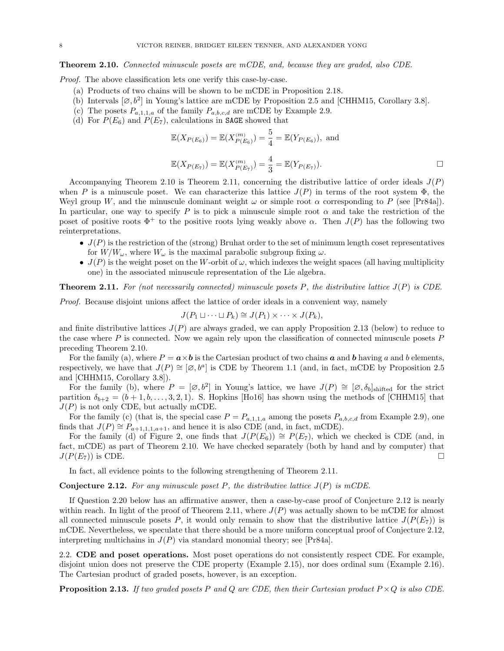Theorem 2.10. Connected minuscule posets are mCDE, and, because they are graded, also CDE.

Proof. The above classification lets one verify this case-by-case.

- (a) Products of two chains will be shown to be mCDE in Proposition 2.18.
- (b) Intervals  $[\emptyset, b^2]$  in Young's lattice are mCDE by Proposition 2.5 and [CHHM15, Corollary 3.8].
- (c) The posets  $P_{a,1,1,a}$  of the family  $P_{a,b,c,d}$  are mCDE by Example 2.9.
- (d) For  $P(E_6)$  and  $P(E_7)$ , calculations in **SAGE** showed that

$$
\mathbb{E}(X_{P(E_6)}) = \mathbb{E}(X_{P(E_6)}^{(m)}) = \frac{5}{4} = \mathbb{E}(Y_{P(E_6)}), \text{ and}
$$

$$
\mathbb{E}(X_{P(E_7)}) = \mathbb{E}(X_{P(E_7)}^{(m)}) = \frac{4}{3} = \mathbb{E}(Y_{P(E_7)}).
$$

Accompanying Theorem 2.10 is Theorem 2.11, concerning the distributive lattice of order ideals  $J(P)$ when P is a minuscule poset. We can characterize this lattice  $J(P)$  in terms of the root system  $\Phi$ , the Weyl group W, and the minuscule dominant weight  $\omega$  or simple root  $\alpha$  corresponding to P (see [Pr84a]). In particular, one way to specify P is to pick a minuscule simple root  $\alpha$  and take the restriction of the poset of positive roots  $\Phi^+$  to the positive roots lying weakly above  $\alpha$ . Then  $J(P)$  has the following two reinterpretations.

- $J(P)$  is the restriction of the (strong) Bruhat order to the set of minimum length coset representatives for  $W/W_\omega$ , where  $W_\omega$  is the maximal parabolic subgroup fixing  $\omega$ .
- $J(P)$  is the weight poset on the W-orbit of  $\omega$ , which indexes the weight spaces (all having multiplicity one) in the associated minuscule representation of the Lie algebra.

**Theorem 2.11.** For (not necessarily connected) minuscule posets P, the distributive lattice  $J(P)$  is CDE.

Proof. Because disjoint unions affect the lattice of order ideals in a convenient way, namely

$$
J(P_1 \sqcup \cdots \sqcup P_k) \cong J(P_1) \times \cdots \times J(P_k),
$$

and finite distributive lattices  $J(P)$  are always graded, we can apply Proposition 2.13 (below) to reduce to the case where  $P$  is connected. Now we again rely upon the classification of connected minuscule posets  $P$ preceding Theorem 2.10.

For the family (a), where  $P = \mathbf{a} \times \mathbf{b}$  is the Cartesian product of two chains  $\mathbf{a}$  and  $\mathbf{b}$  having a and b elements, respectively, we have that  $J(P) \cong [\emptyset, b^a]$  is CDE by Theorem 1.1 (and, in fact, mCDE by Proposition 2.5 and [CHHM15, Corollary 3.8]).

For the family (b), where  $P = [\emptyset, b^2]$  in Young's lattice, we have  $J(P) \cong [\emptyset, \delta_b]_{\text{shifted}}$  for the strict partition  $\delta_{b+2} = (b+1, b, \ldots, 3, 2, 1)$ . S. Hopkins [Ho16] has shown using the methods of [CHHM15] that  $J(P)$  is not only CDE, but actually mCDE.

For the family (c) (that is, the special case  $P = P_{a,1,1,a}$  among the posets  $P_{a,b,c,d}$  from Example 2.9), one finds that  $J(P) \cong P_{a+1,1,1,a+1}$ , and hence it is also CDE (and, in fact, mCDE).

For the family (d) of Figure 2, one finds that  $J(P(E_6)) \cong P(E_7)$ , which we checked is CDE (and, in fact, mCDE) as part of Theorem 2.10. We have checked separately (both by hand and by computer) that  $J(P(E_7))$  is CDE.

In fact, all evidence points to the following strengthening of Theorem 2.11.

#### **Conjecture 2.12.** For any minuscule poset P, the distributive lattice  $J(P)$  is mCDE.

If Question 2.20 below has an affirmative answer, then a case-by-case proof of Conjecture 2.12 is nearly within reach. In light of the proof of Theorem 2.11, where  $J(P)$  was actually shown to be mCDE for almost all connected minuscule posets P, it would only remain to show that the distributive lattice  $J(P(E_7))$  is mCDE. Nevertheless, we speculate that there should be a more uniform conceptual proof of Conjecture 2.12, interpreting multichains in  $J(P)$  via standard monomial theory; see [Pr84a].

2.2. CDE and poset operations. Most poset operations do not consistently respect CDE. For example, disjoint union does not preserve the CDE property (Example 2.15), nor does ordinal sum (Example 2.16). The Cartesian product of graded posets, however, is an exception.

**Proposition 2.13.** If two graded posets P and Q are CDE, then their Cartesian product  $P \times Q$  is also CDE.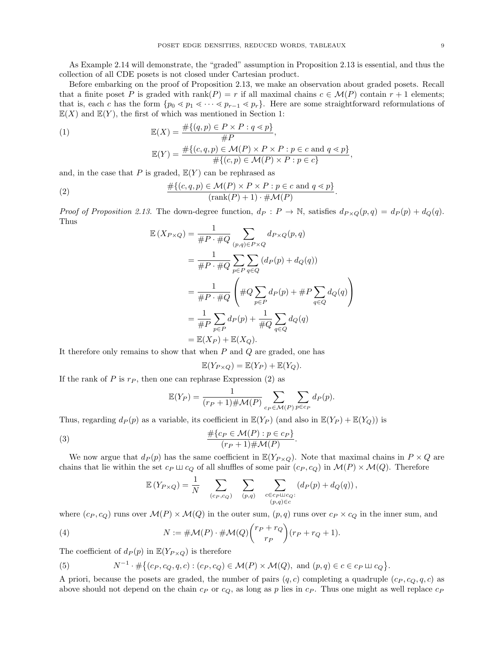As Example 2.14 will demonstrate, the "graded" assumption in Proposition 2.13 is essential, and thus the collection of all CDE posets is not closed under Cartesian product.

Before embarking on the proof of Proposition 2.13, we make an observation about graded posets. Recall that a finite poset P is graded with rank(P) = r if all maximal chains  $c \in \mathcal{M}(P)$  contain  $r + 1$  elements; that is, each c has the form  $\{p_0 \le p_1 \le \cdots \le p_{r-1} \le p_r\}$ . Here are some straightforward reformulations of  $\mathbb{E}(X)$  and  $\mathbb{E}(Y)$ , the first of which was mentioned in Section 1:

(1)  
\n
$$
\mathbb{E}(X) = \frac{\#\{(q,p) \in P \times P : q \leq p\}}{\#P},
$$
\n
$$
\mathbb{E}(Y) = \frac{\#\{(c,q,p) \in \mathcal{M}(P) \times P \times P : p \in c \text{ and } q \leq p\}}{\#\{(c,p) \in \mathcal{M}(P) \times P : p \in c\}},
$$

and, in the case that P is graded,  $\mathbb{E}(Y)$  can be rephrased as

(2) 
$$
\frac{\#\{(c,q,p)\in \mathcal{M}(P)\times P\times P:p\in c \text{ and } q\leq p\}}{(\text{rank}(P)+1)\cdot\#\mathcal{M}(P)}.
$$

Proof of Proposition 2.13. The down-degree function,  $d_P : P \to \mathbb{N}$ , satisfies  $d_{P \times Q}(p,q) = d_P(p) + d_Q(q)$ . Thus

$$
\mathbb{E}(X_{P\times Q}) = \frac{1}{\#P \cdot \#Q} \sum_{(p,q)\in P\times Q} d_{P\times Q}(p,q)
$$
  
\n
$$
= \frac{1}{\#P \cdot \#Q} \sum_{p\in P} \sum_{q\in Q} (d_P(p) + d_Q(q))
$$
  
\n
$$
= \frac{1}{\#P \cdot \#Q} \left( \#Q \sum_{p\in P} d_P(p) + \#P \sum_{q\in Q} d_Q(q) \right)
$$
  
\n
$$
= \frac{1}{\#P} \sum_{p\in P} d_P(p) + \frac{1}{\#Q} \sum_{q\in Q} d_Q(q)
$$
  
\n
$$
= \mathbb{E}(X_P) + \mathbb{E}(X_Q).
$$

It therefore only remains to show that when  $P$  and  $Q$  are graded, one has

$$
\mathbb{E}(Y_{P\times Q}) = \mathbb{E}(Y_P) + \mathbb{E}(Y_Q).
$$

If the rank of P is  $r_P$ , then one can rephrase Expression (2) as

$$
\mathbb{E}(Y_P) = \frac{1}{(r_P + 1) \# \mathcal{M}(P)} \sum_{c_P \in \mathcal{M}(P)} \sum_{p \in c_P} d_P(p).
$$

Thus, regarding  $d_P(p)$  as a variable, its coefficient in  $\mathbb{E}(Y_P)$  (and also in  $\mathbb{E}(Y_P) + \mathbb{E}(Y_Q)$ ) is

(3) 
$$
\frac{\#\{c_P \in \mathcal{M}(P) : p \in c_P\}}{(r_P + 1) \# \mathcal{M}(P)}
$$

We now argue that  $d_P (p)$  has the same coefficient in  $\mathbb{E}(Y_{P \times Q})$ . Note that maximal chains in  $P \times Q$  are chains that lie within the set  $c_P \sqcup c_Q$  of all shuffles of some pair  $(c_P, c_Q)$  in  $\mathcal{M}(P) \times \mathcal{M}(Q)$ . Therefore

.

$$
\mathbb{E}\left(Y_{P\times Q}\right) = \frac{1}{N} \sum_{(c_P,c_Q)} \sum_{\substack{(p,q) \\ (p,q) \ \in c}} \sum_{\substack{c \in c_P \sqcup c_Q:\\(p,q) \in c}} \left(d_P(p) + d_Q(q)\right),
$$

where  $(c_P, c_Q)$  runs over  $\mathcal{M}(P) \times \mathcal{M}(Q)$  in the outer sum,  $(p, q)$  runs over  $c_P \times c_Q$  in the inner sum, and

(4) 
$$
N := \# \mathcal{M}(P) \cdot \# \mathcal{M}(Q) {r_P + r_Q \choose r_P} (r_P + r_Q + 1).
$$

The coefficient of  $d_P(p)$  in  $\mathbb{E}(Y_{P\times Q})$  is therefore

(5) 
$$
N^{-1} \cdot \# \big\{ (c_P, c_Q, q, c) : (c_P, c_Q) \in \mathcal{M}(P) \times \mathcal{M}(Q), \text{ and } (p, q) \in c \in c_P \sqcup c_Q \big\}.
$$

A priori, because the posets are graded, the number of pairs  $(q, c)$  completing a quadruple  $(c_P, c_Q, q, c)$  as above should not depend on the chain  $c_P$  or  $c_Q$ , as long as p lies in  $c_P$ . Thus one might as well replace  $c_P$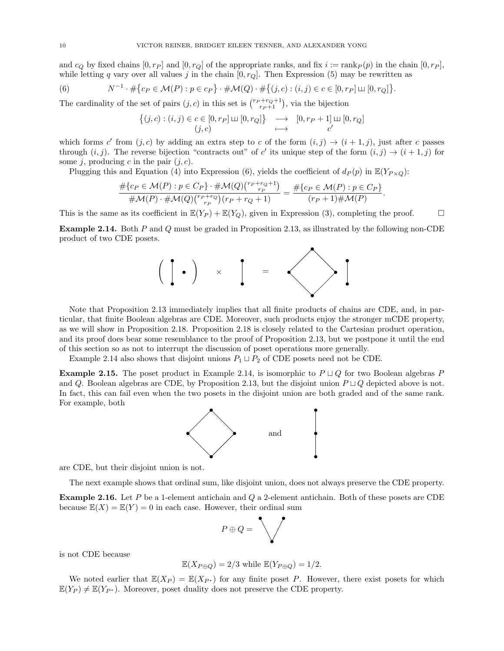and  $c_Q$  by fixed chains  $[0, r_P]$  and  $[0, r_Q]$  of the appropriate ranks, and fix  $i := \text{rank}_P(p)$  in the chain  $[0, r_P]$ , while letting q vary over all values j in the chain  $[0, r_Q]$ . Then Expression (5) may be rewritten as

(6) 
$$
N^{-1} \cdot \# \{ c_P \in \mathcal{M}(P) : p \in c_P \} \cdot \# \mathcal{M}(Q) \cdot \# \{ (j, c) : (i, j) \in c \in [0, r_P] \sqcup [0, r_Q] \}.
$$

The cardinality of the set of pairs  $(j, c)$  in this set is  $\binom{r_P + r_Q + 1}{r_P + 1}$ , via the bijection

$$
\{(j,c) : (i,j) \in c \in [0,r_P] \sqcup [0,r_Q] \} \longrightarrow [0,r_P+1] \sqcup [0,r_Q]
$$
  

$$
(j,c) \longmapsto c'
$$

which forms c' from  $(j, c)$  by adding an extra step to c of the form  $(i, j) \rightarrow (i + 1, j)$ , just after c passes through  $(i, j)$ . The reverse bijection "contracts out" of c' its unique step of the form  $(i, j) \rightarrow (i + 1, j)$  for some j, producing c in the pair  $(j, c)$ .

Plugging this and Equation (4) into Expression (6), yields the coefficient of  $d_P(p)$  in  $\mathbb{E}(Y_{P \times Q})$ :

$$
\frac{\#\{c_P \in \mathcal{M}(P) : p \in C_P\} \cdot \# \mathcal{M}(Q)\binom{r_P + r_Q + 1}{r_P}}{\# \mathcal{M}(P) \cdot \# \mathcal{M}(Q)\binom{r_P + r_Q}{r_P}(r_P + r_Q + 1)} = \frac{\#\{c_P \in \mathcal{M}(P) : p \in C_P\}}{(r_P + 1)\# \mathcal{M}(P)}.
$$

This is the same as its coefficient in  $\mathbb{E}(Y_P) + \mathbb{E}(Y_Q)$ , given in Expression (3), completing the proof.

Example 2.14. Both P and Q must be graded in Proposition 2.13, as illustrated by the following non-CDE product of two CDE posets.



Note that Proposition 2.13 immediately implies that all finite products of chains are CDE, and, in particular, that finite Boolean algebras are CDE. Moreover, such products enjoy the stronger mCDE property, as we will show in Proposition 2.18. Proposition 2.18 is closely related to the Cartesian product operation, and its proof does bear some resemblance to the proof of Proposition 2.13, but we postpone it until the end of this section so as not to interrupt the discussion of poset operations more generally.

Example 2.14 also shows that disjoint unions  $P_1 \sqcup P_2$  of CDE posets need not be CDE.

**Example 2.15.** The poset product in Example 2.14, is isomorphic to  $P \sqcup Q$  for two Boolean algebras P and Q. Boolean algebras are CDE, by Proposition 2.13, but the disjoint union  $P \sqcup Q$  depicted above is not. In fact, this can fail even when the two posets in the disjoint union are both graded and of the same rank. For example, both



are CDE, but their disjoint union is not.

The next example shows that ordinal sum, like disjoint union, does not always preserve the CDE property.

Example 2.16. Let P be a 1-element antichain and Q a 2-element antichain. Both of these posets are CDE because  $\mathbb{E}(X) = \mathbb{E}(Y) = 0$  in each case. However, their ordinal sum

$$
P \oplus Q = \bigvee
$$

is not CDE because

$$
\mathbb{E}(X_{P\oplus Q}) = 2/3 \text{ while } \mathbb{E}(Y_{P\oplus Q}) = 1/2.
$$

We noted earlier that  $\mathbb{E}(X_P) = \mathbb{E}(X_{P^*})$  for any finite poset P. However, there exist posets for which  $\mathbb{E}(Y_P) \neq \mathbb{E}(Y_{P^*})$ . Moreover, poset duality does not preserve the CDE property.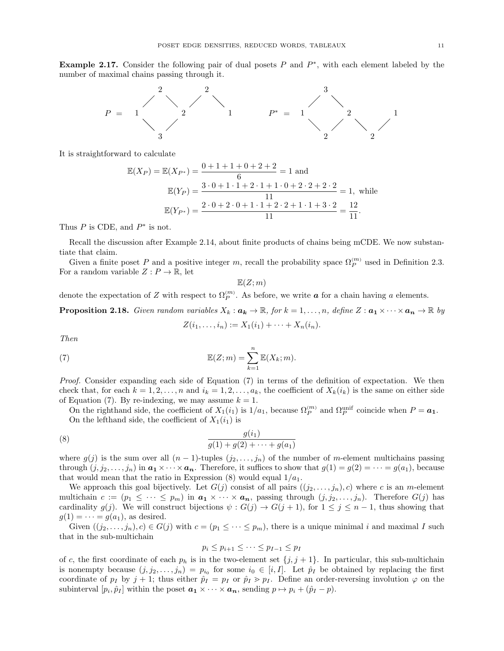**Example 2.17.** Consider the following pair of dual posets  $P$  and  $P^*$ , with each element labeled by the number of maximal chains passing through it.



It is straightforward to calculate

$$
\mathbb{E}(X_P) = \mathbb{E}(X_{P^*}) = \frac{0+1+1+0+2+2}{6} = 1 \text{ and}
$$

$$
\mathbb{E}(Y_P) = \frac{3 \cdot 0 + 1 \cdot 1 + 2 \cdot 1 + 1 \cdot 0 + 2 \cdot 2 + 2 \cdot 2}{11} = 1, \text{ while}
$$

$$
\mathbb{E}(Y_{P^*}) = \frac{2 \cdot 0 + 2 \cdot 0 + 1 \cdot 1 + 2 \cdot 2 + 1 \cdot 1 + 3 \cdot 2}{11} = \frac{12}{11}.
$$

Thus  $P$  is CDE, and  $P^*$  is not.

Recall the discussion after Example 2.14, about finite products of chains being mCDE. We now substantiate that claim.

Given a finite poset P and a positive integer m, recall the probability space  $\Omega_P^{(m)}$  used in Definition 2.3. For a random variable  $Z: P \to \mathbb{R}$ , let

$$
\mathbb{E}(Z;m)
$$

denote the expectation of Z with respect to  $\Omega_P^{(m)}$ . As before, we write  $\boldsymbol{a}$  for a chain having a elements.

**Proposition 2.18.** Given random variables  $X_k : \boldsymbol{a_k} \to \mathbb{R}$ , for  $k = 1, \ldots, n$ , define  $Z : \boldsymbol{a_1} \times \cdots \times \boldsymbol{a_n} \to \mathbb{R}$  by  $Z(i_1, \ldots, i_n) := X_1(i_1) + \cdots + X_n(i_n).$ 

Then

(7) 
$$
\mathbb{E}(Z;m) = \sum_{k=1}^{n} \mathbb{E}(X_k;m).
$$

Proof. Consider expanding each side of Equation (7) in terms of the definition of expectation. We then check that, for each  $k = 1, 2, ..., n$  and  $i_k = 1, 2, ..., a_k$ , the coefficient of  $X_k(i_k)$  is the same on either side of Equation (7). By re-indexing, we may assume  $k = 1$ .

On the righthand side, the coefficient of  $X_1(i_1)$  is  $1/a_1$ , because  $\Omega_P^{(m)}$  and  $\Omega_P^{\text{unif}}$  coincide when  $P = a_1$ . On the lefthand side, the coefficient of  $X_1(i_1)$  is

(8) 
$$
\frac{g(i_1)}{g(1) + g(2) + \cdots + g(a_1)}
$$

where  $g(j)$  is the sum over all  $(n-1)$ -tuples  $(j_2, \ldots, j_n)$  of the number of m-element multichains passing through  $(j, j_2, \ldots, j_n)$  in  $a_1 \times \cdots \times a_n$ . Therefore, it suffices to show that  $g(1) = g(2) = \cdots = g(a_1)$ , because that would mean that the ratio in Expression  $(8)$  would equal  $1/a_1$ .

We approach this goal bijectively. Let  $G(j)$  consist of all pairs  $((j_2, \ldots, j_n), c)$  where c is an m-element multichain  $c := (p_1 \leq \cdots \leq p_m)$  in  $a_1 \times \cdots \times a_n$ , passing through  $(j, j_2, \ldots, j_n)$ . Therefore  $G(j)$  has cardinality  $g(j)$ . We will construct bijections  $\psi : G(j) \to G(j+1)$ , for  $1 \leq j \leq n-1$ , thus showing that  $g(1) = \cdots = g(a_1)$ , as desired.

Given  $((j_2, \ldots, j_n), c) \in G(j)$  with  $c = (p_1 \leq \cdots \leq p_m)$ , there is a unique minimal i and maximal I such that in the sub-multichain

$$
p_i \le p_{i+1} \le \cdots \le p_{I-1} \le p_I
$$

of c, the first coordinate of each  $p_h$  is in the two-element set  $\{j, j + 1\}$ . In particular, this sub-multichain is nonempty because  $(j, j_2, \ldots, j_n) = p_{i_0}$  for some  $i_0 \in [i, I]$ . Let  $\hat{p}_I$  be obtained by replacing the first coordinate of  $p_I$  by  $j + 1$ ; thus either  $\hat{p}_I = p_I$  or  $\hat{p}_I > p_I$ . Define an order-reversing involution  $\varphi$  on the subinterval  $[p_i, \hat{p}_I]$  within the poset  $a_1 \times \cdots \times a_n$ , sending  $p \mapsto p_i + (\hat{p}_I - p)$ .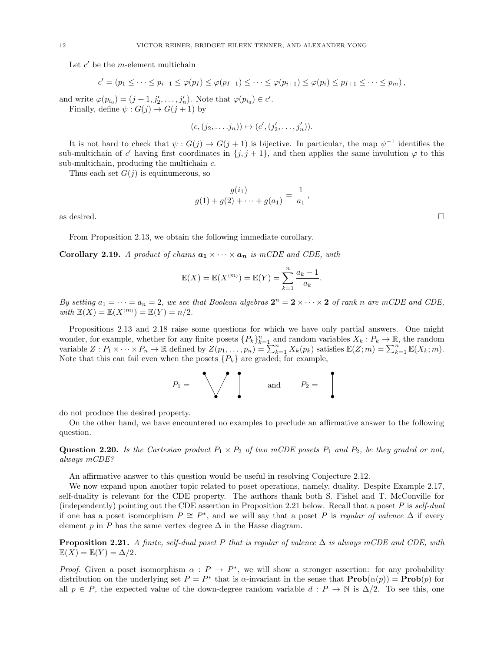Let  $c'$  be the *m*-element multichain

$$
c' = (p_1 \leq \cdots \leq p_{i-1} \leq \varphi(p_I) \leq \varphi(p_{I-1}) \leq \cdots \leq \varphi(p_{i+1}) \leq \varphi(p_i) \leq p_{I+1} \leq \cdots \leq p_m),
$$

and write  $\varphi(p_{i_0}) = (j+1, j'_2, \ldots, j'_n)$ . Note that  $\varphi(p_{i_0}) \in c'$ . Finally, define  $\psi: G(j) \to G(j+1)$  by

$$
(c,(j_2,\ldots,j_n))\mapsto (c',(j'_2,\ldots,j'_n)).
$$

It is not hard to check that  $\psi: G(j) \to G(j+1)$  is bijective. In particular, the map  $\psi^{-1}$  identifies the sub-multichain of c' having first coordinates in  $\{j, j+1\}$ , and then applies the same involution  $\varphi$  to this sub-multichain, producing the multichain c.

Thus each set  $G(i)$  is equinumerous, so

$$
\frac{g(i_1)}{g(1) + g(2) + \dots + g(a_1)} = \frac{1}{a_1},
$$
 as desired.

From Proposition 2.13, we obtain the following immediate corollary.

**Corollary 2.19.** A product of chains  $a_1 \times \cdots \times a_n$  is mCDE and CDE, with

$$
\mathbb{E}(X) = \mathbb{E}(X^{(m)}) = \mathbb{E}(Y) = \sum_{k=1}^{n} \frac{a_k - 1}{a_k}.
$$

By setting  $a_1 = \cdots = a_n = 2$ , we see that Boolean algebras  $2^n = 2 \times \cdots \times 2$  of rank n are mCDE and CDE, with  $\mathbb{E}(X) = \mathbb{E}(X^{(m)}) = \mathbb{E}(Y) = n/2$ .

Propositions 2.13 and 2.18 raise some questions for which we have only partial answers. One might wonder, for example, whether for any finite posets  ${P_k}_{k=1}^n$  and random variables  $X_k : P_k \to \mathbb{R}$ , the random variable  $Z: P_1 \times \cdots \times P_n \to \mathbb{R}$  defined by  $Z(p_1, \ldots, p_n) = \sum_{k=1}^n X_k(p_k)$  satisfies  $\mathbb{E}(Z;m) = \sum_{k=1}^n \mathbb{E}(X_k;m)$ . Note that this can fail even when the posets  $\{P_k\}$  are graded; for example,

$$
P_1 = \bigvee \qquad \text{and} \qquad P_2 = \qquad
$$

do not produce the desired property.

On the other hand, we have encountered no examples to preclude an affirmative answer to the following question.

**Question 2.20.** Is the Cartesian product  $P_1 \times P_2$  of two mCDE posets  $P_1$  and  $P_2$ , be they graded or not, always mCDE?

An affirmative answer to this question would be useful in resolving Conjecture 2.12.

We now expand upon another topic related to poset operations, namely, duality. Despite Example 2.17, self-duality is relevant for the CDE property. The authors thank both S. Fishel and T. McConville for (independently) pointing out the CDE assertion in Proposition 2.21 below. Recall that a poset P is self-dual if one has a poset isomorphism  $P \cong P^*$ , and we will say that a poset P is regular of valence  $\Delta$  if every element p in P has the same vertex degree  $\Delta$  in the Hasse diagram.

**Proposition 2.21.** A finite, self-dual poset P that is regular of valence  $\Delta$  is always mCDE and CDE, with  $\mathbb{E}(X) = \mathbb{E}(Y) = \Delta/2.$ 

*Proof.* Given a poset isomorphism  $\alpha$ :  $P \rightarrow P^*$ , we will show a stronger assertion: for any probability distribution on the underlying set  $P = P^*$  that is  $\alpha$ -invariant in the sense that  $\text{Prob}(\alpha(p)) = \text{Prob}(p)$  for all  $p \in P$ , the expected value of the down-degree random variable  $d : P \to \mathbb{N}$  is  $\Delta/2$ . To see this, one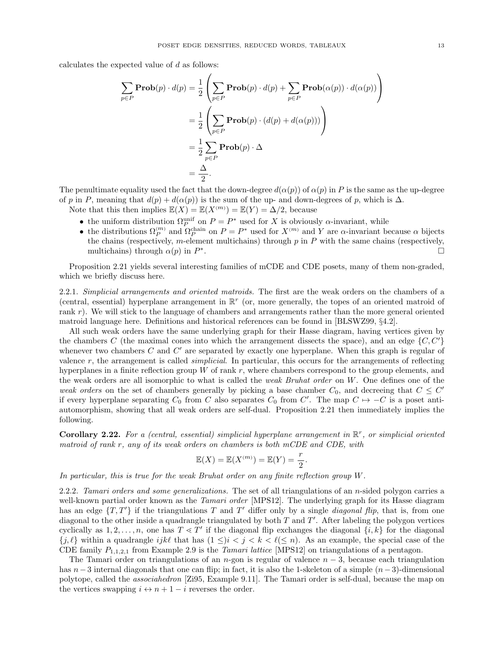calculates the expected value of d as follows:

$$
\sum_{p \in P} \mathbf{Prob}(p) \cdot d(p) = \frac{1}{2} \left( \sum_{p \in P} \mathbf{Prob}(p) \cdot d(p) + \sum_{p \in P} \mathbf{Prob}(\alpha(p)) \cdot d(\alpha(p)) \right)
$$

$$
= \frac{1}{2} \left( \sum_{p \in P} \mathbf{Prob}(p) \cdot (d(p) + d(\alpha(p))) \right)
$$

$$
= \frac{1}{2} \sum_{p \in P} \mathbf{Prob}(p) \cdot \Delta
$$

$$
= \frac{\Delta}{2}.
$$

The penultimate equality used the fact that the down-degree  $d(\alpha(p))$  of  $\alpha(p)$  in P is the same as the up-degree of p in P, meaning that  $d(p) + d(\alpha(p))$  is the sum of the up- and down-degrees of p, which is  $\Delta$ .

Note that this then implies  $\mathbb{E}(X) = \mathbb{E}(X^{(m)}) = \mathbb{E}(Y) = \Delta/2$ , because

- the uniform distribution  $\Omega_P^{\text{unif}}$  on  $P = P^*$  used for X is obviously  $\alpha$ -invariant, while
- the distributions  $\Omega_P^{(m)}$  and  $\Omega_P^{\text{chain}}$  on  $P = P^*$  used for  $X^{(m)}$  and Y are  $\alpha$ -invariant because  $\alpha$  bijects the chains (respectively, m-element multichains) through  $p$  in  $P$  with the same chains (respectively, multichains) through  $\alpha(p)$  in  $P^*$ .

Proposition 2.21 yields several interesting families of mCDE and CDE posets, many of them non-graded, which we briefly discuss here.

2.2.1. Simplicial arrangements and oriented matroids. The first are the weak orders on the chambers of a (central, essential) hyperplane arrangement in  $\mathbb{R}^r$  (or, more generally, the topes of an oriented matroid of rank r). We will stick to the language of chambers and arrangements rather than the more general oriented matroid language here. Definitions and historical references can be found in [BLSWZ99, §4.2].

All such weak orders have the same underlying graph for their Hasse diagram, having vertices given by the chambers C (the maximal cones into which the arrangement dissects the space), and an edge  $\{C, C'\}$ whenever two chambers  $C$  and  $C'$  are separated by exactly one hyperplane. When this graph is regular of valence  $r$ , the arrangement is called *simplicial*. In particular, this occurs for the arrangements of reflecting hyperplanes in a finite reflection group  $W$  of rank  $r$ , where chambers correspond to the group elements, and the weak orders are all isomorphic to what is called the weak Bruhat order on W. One defines one of the weak orders on the set of chambers generally by picking a base chamber  $C_0$ , and decreeing that  $C \leq C'$ if every hyperplane separating  $C_0$  from C also separates  $C_0$  from C'. The map  $C \rightarrow -C$  is a poset antiautomorphism, showing that all weak orders are self-dual. Proposition 2.21 then immediately implies the following.

Corollary 2.22. For a (central, essential) simplicial hyperplane arrangement in  $\mathbb{R}^r$ , or simplicial oriented matroid of rank r, any of its weak orders on chambers is both mCDE and CDE, with

$$
\mathbb{E}(X) = \mathbb{E}(X^{(m)}) = \mathbb{E}(Y) = \frac{r}{2}.
$$

In particular, this is true for the weak Bruhat order on any finite reflection group W.

2.2.2. Tamari orders and some generalizations. The set of all triangulations of an n-sided polygon carries a well-known partial order known as the *Tamari order* [MPS12]. The underlying graph for its Hasse diagram has an edge  $\{T, T'\}$  if the triangulations T and T' differ only by a single *diagonal flip*, that is, from one diagonal to the other inside a quadrangle triangulated by both  $T$  and  $T'$ . After labeling the polygon vertices cyclically as  $1, 2, \ldots, n$ , one has  $T \leq T'$  if the diagonal flip exchanges the diagonal  $\{i, k\}$  for the diagonal  ${j, \ell}$  within a quadrangle ijkl that has  $(1 \leq)i < j < k < \ell (\leq n)$ . As an example, the special case of the CDE family  $P_{1,1,2,1}$  from Example 2.9 is the Tamari lattice [MPS12] on triangulations of a pentagon.

The Tamari order on triangulations of an n-gon is regular of valence  $n-3$ , because each triangulation has  $n-3$  internal diagonals that one can flip; in fact, it is also the 1-skeleton of a simple  $(n-3)$ -dimensional polytope, called the associahedron [Zi95, Example 9.11]. The Tamari order is self-dual, because the map on the vertices swapping  $i \leftrightarrow n+1-i$  reverses the order.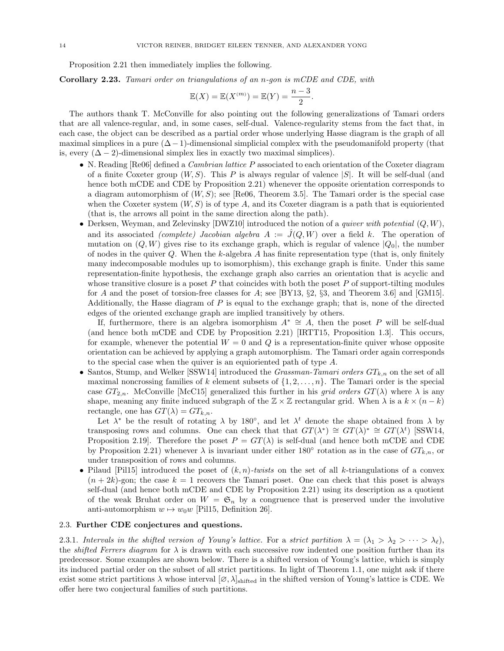Proposition 2.21 then immediately implies the following.

Corollary 2.23. Tamari order on triangulations of an n-gon is mCDE and CDE, with

$$
\mathbb{E}(X) = \mathbb{E}(X^{(m)}) = \mathbb{E}(Y) = \frac{n-3}{2}.
$$

The authors thank T. McConville for also pointing out the following generalizations of Tamari orders that are all valence-regular, and, in some cases, self-dual. Valence-regularity stems from the fact that, in each case, the object can be described as a partial order whose underlying Hasse diagram is the graph of all maximal simplices in a pure  $(\Delta - 1)$ -dimensional simplicial complex with the pseudomanifold property (that is, every  $(\Delta - 2)$ -dimensional simplex lies in exactly two maximal simplices).

- N. Reading  $[Re06]$  defined a *Cambrian lattice P* associated to each orientation of the Coxeter diagram of a finite Coxeter group  $(W, S)$ . This P is always regular of valence  $|S|$ . It will be self-dual (and hence both mCDE and CDE by Proposition 2.21) whenever the opposite orientation corresponds to a diagram automorphism of  $(W, S)$ ; see [Re06, Theorem 3.5]. The Tamari order is the special case when the Coxeter system  $(W, S)$  is of type A, and its Coxeter diagram is a path that is equioriented (that is, the arrows all point in the same direction along the path).
- Derksen, Weyman, and Zelevinsky [DWZ10] introduced the notion of a quiver with potential  $(Q, W)$ , and its associated *(complete)* Jacobian algebra  $A := \mathcal{J}(Q, W)$  over a field k. The operation of mutation on  $(Q, W)$  gives rise to its exchange graph, which is regular of valence  $|Q_0|$ , the number of nodes in the quiver  $Q$ . When the k-algebra A has finite representation type (that is, only finitely many indecomposable modules up to isomorphism), this exchange graph is finite. Under this same representation-finite hypothesis, the exchange graph also carries an orientation that is acyclic and whose transitive closure is a poset  $P$  that coincides with both the poset  $P$  of support-tilting modules for A and the poset of torsion-free classes for A; see [BY13,  $\S2$ ,  $\S3$ , and Theorem 3.6] and [GM15]. Additionally, the Hasse diagram of  $P$  is equal to the exchange graph; that is, none of the directed edges of the oriented exchange graph are implied transitively by others.

If, furthermore, there is an algebra isomorphism  $A^* \cong A$ , then the poset P will be self-dual (and hence both mCDE and CDE by Proposition 2.21) [IRTT15, Proposition 1.3]. This occurs, for example, whenever the potential  $W = 0$  and Q is a representation-finite quiver whose opposite orientation can be achieved by applying a graph automorphism. The Tamari order again corresponds to the special case when the quiver is an equioriented path of type A.

• Santos, Stump, and Welker [SSW14] introduced the *Grassman-Tamari orders*  $GT_{k,n}$  on the set of all maximal noncrossing families of k element subsets of  $\{1, 2, \ldots, n\}$ . The Tamari order is the special case  $GT_{2,n}$ . McConville [McC15] generalized this further in his grid orders  $GT(\lambda)$  where  $\lambda$  is any shape, meaning any finite induced subgraph of the  $\mathbb{Z} \times \mathbb{Z}$  rectangular grid. When  $\lambda$  is a  $k \times (n - k)$ rectangle, one has  $GT(\lambda) = GT_{k,n}$ .

Let  $\lambda^*$  be the result of rotating  $\lambda$  by 180°, and let  $\lambda^t$  denote the shape obtained from  $\lambda$  by transposing rows and columns. One can check that that  $GT(\lambda^*) \cong GT(\lambda)^* \cong GT(\lambda^t)$  [SSW14, Proposition 2.19]. Therefore the poset  $P = GT(\lambda)$  is self-dual (and hence both mCDE and CDE by Proposition 2.21) whenever  $\lambda$  is invariant under either 180 $^{\circ}$  rotation as in the case of  $GT_{k,n}$ , or under transposition of rows and columns.

• Pilaud [Pil15] introduced the poset of  $(k, n)$ -twists on the set of all k-triangulations of a convex  $(n + 2k)$ -gon; the case  $k = 1$  recovers the Tamari poset. One can check that this poset is always self-dual (and hence both mCDE and CDE by Proposition 2.21) using its description as a quotient of the weak Bruhat order on  $W = \mathfrak{S}_n$  by a congruence that is preserved under the involutive anti-automorphism  $w \mapsto w_0w$  [Pil15, Definition 26].

# 2.3. Further CDE conjectures and questions.

2.3.1. Intervals in the shifted version of Young's lattice. For a strict partition  $\lambda = (\lambda_1 > \lambda_2 > \cdots > \lambda_\ell),$ the *shifted Ferrers diagram* for  $\lambda$  is drawn with each successive row indented one position further than its predecessor. Some examples are shown below. There is a shifted version of Young's lattice, which is simply its induced partial order on the subset of all strict partitions. In light of Theorem 1.1, one might ask if there exist some strict partitions  $\lambda$  whose interval  $[\varnothing, \lambda]_{\text{shifted}}$  in the shifted version of Young's lattice is CDE. We offer here two conjectural families of such partitions.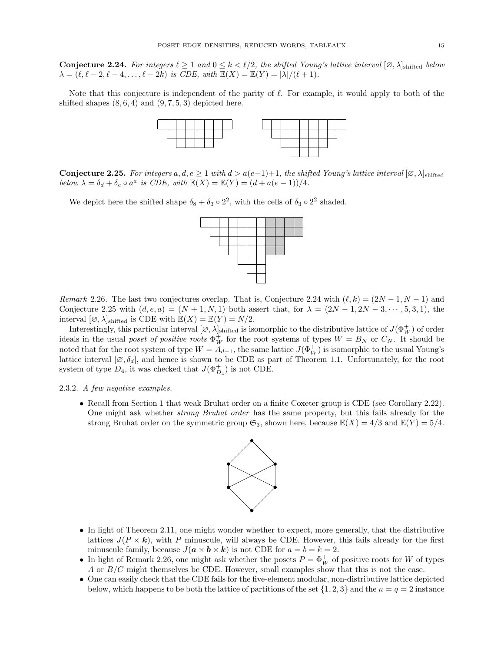**Conjecture 2.24.** For integers  $\ell \geq 1$  and  $0 \leq k \leq \ell/2$ , the shifted Young's lattice interval  $[\varnothing, \lambda]_{\text{shifted}}$  below  $\lambda = (\ell, \ell - 2, \ell - 4, \ldots, \ell - 2k)$  is CDE, with  $\mathbb{E}(X) = \mathbb{E}(Y) = |\lambda|/(\ell + 1)$ .

Note that this conjecture is independent of the parity of  $\ell$ . For example, it would apply to both of the shifted shapes  $(8, 6, 4)$  and  $(9, 7, 5, 3)$  depicted here.



**Conjecture 2.25.** For integers a, d, e  $\geq 1$  with  $d > a(e-1)+1$ , the shifted Young's lattice interval  $[\emptyset, \lambda]_{\text{shifted}}$ below  $\lambda = \delta_d + \delta_e \circ a^a$  is CDE, with  $\mathbb{E}(X) = \mathbb{E}(Y) = (d + a(e - 1))/4$ .

We depict here the shifted shape  $\delta_8 + \delta_3 \circ 2^2$ , with the cells of  $\delta_3 \circ 2^2$  shaded.



Remark 2.26. The last two conjectures overlap. That is, Conjecture 2.24 with  $(\ell, k) = (2N - 1, N - 1)$  and Conjecture 2.25 with  $(d, e, a) = (N + 1, N, 1)$  both assert that, for  $\lambda = (2N - 1, 2N - 3, \dots, 5, 3, 1)$ , the interval  $[\emptyset, \lambda]_{\text{shifted}}$  is CDE with  $\mathbb{E}(X) = \mathbb{E}(Y) = N/2$ .

Interestingly, this particular interval  $[\varnothing, \lambda]_{\text{shifted}}$  is isomorphic to the distributive lattice of  $J(\Phi_W^+)$  of order ideals in the usual poset of positive roots  $\Phi_W^+$  for the root systems of types  $W = B_N$  or  $C_N$ . It should be noted that for the root system of type  $W = A_{d-1}$ , the same lattice  $J(\Phi_W^+)$  is isomorphic to the usual Young's lattice interval  $[\varnothing, \delta_d]$ , and hence is shown to be CDE as part of Theorem 1.1. Unfortunately, for the root system of type  $D_4$ , it was checked that  $J(\Phi_{D_4}^+)$  is not CDE.

## 2.3.2. A few negative examples.

• Recall from Section 1 that weak Bruhat order on a finite Coxeter group is CDE (see Corollary 2.22). One might ask whether strong Bruhat order has the same property, but this fails already for the strong Bruhat order on the symmetric group  $\mathfrak{S}_3$ , shown here, because  $\mathbb{E}(X) = 4/3$  and  $\mathbb{E}(Y) = 5/4$ .



- In light of Theorem 2.11, one might wonder whether to expect, more generally, that the distributive lattices  $J(P \times \mathbf{k})$ , with P minuscule, will always be CDE. However, this fails already for the first minuscule family, because  $J(\mathbf{a} \times \mathbf{b} \times \mathbf{k})$  is not CDE for  $a = b = k = 2$ .
- In light of Remark 2.26, one might ask whether the posets  $P = \Phi_W^+$  of positive roots for W of types A or B/C might themselves be CDE. However, small examples show that this is not the case.
- One can easily check that the CDE fails for the five-element modular, non-distributive lattice depicted below, which happens to be both the lattice of partitions of the set  $\{1, 2, 3\}$  and the  $n = q = 2$  instance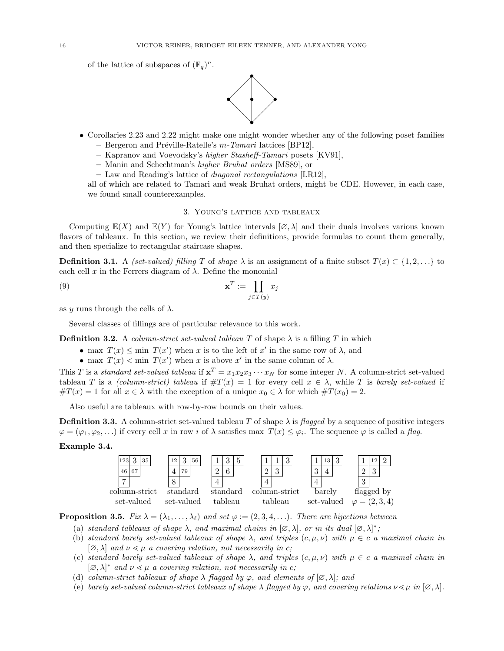of the lattice of subspaces of  $(\mathbb{F}_q)^n$ .



- Corollaries 2.23 and 2.22 might make one might wonder whether any of the following poset families – Bergeron and Préville-Ratelle's  $m$ -Tamari lattices [BP12],
	- Kapranov and Voevodsky's higher Stasheff-Tamari posets [KV91],
	- Manin and Schechtman's higher Bruhat orders [MS89], or
	- Law and Reading's lattice of diagonal rectangulations [LR12],

all of which are related to Tamari and weak Bruhat orders, might be CDE. However, in each case, we found small counterexamples.

### 3. Young's lattice and tableaux

Computing  $\mathbb{E}(X)$  and  $\mathbb{E}(Y)$  for Young's lattice intervals  $[\varnothing, \lambda]$  and their duals involves various known flavors of tableaux. In this section, we review their definitions, provide formulas to count them generally, and then specialize to rectangular staircase shapes.

**Definition 3.1.** A *(set-valued) filling* T of *shape*  $\lambda$  is an assignment of a finite subset  $T(x) \subset \{1, 2, ...\}$  to each cell x in the Ferrers diagram of  $\lambda$ . Define the monomial

$$
\mathbf{x}^T := \prod_{j \in T(y)} x_j
$$

as y runs through the cells of  $\lambda$ .

Several classes of fillings are of particular relevance to this work.

**Definition 3.2.** A column-strict set-valued tableau T of shape  $\lambda$  is a filling T in which

- max  $T(x) \leq \min T(x')$  when x is to the left of x' in the same row of  $\lambda$ , and
- max  $T(x) < \min T(x')$  when x is above x' in the same column of  $\lambda$ .

This T is a standard set-valued tableau if  $\mathbf{x}^T = x_1 x_2 x_3 \cdots x_N$  for some integer N. A column-strict set-valued tableau T is a (column-strict) tableau if  $\#T(x) = 1$  for every cell  $x \in \lambda$ , while T is barely set-valued if  $\#T(x) = 1$  for all  $x \in \lambda$  with the exception of a unique  $x_0 \in \lambda$  for which  $\#T(x_0) = 2$ .

Also useful are tableaux with row-by-row bounds on their values.

**Definition 3.3.** A column-strict set-valued tableau T of shape  $\lambda$  is flagged by a sequence of positive integers  $\varphi = (\varphi_1, \varphi_2, \ldots)$  if every cell x in row i of  $\lambda$  satisfies max  $T(x) \leq \varphi_i$ . The sequence  $\varphi$  is called a flag.

# Example 3.4.



**Proposition 3.5.** Fix  $\lambda = (\lambda_1, \ldots, \lambda_\ell)$  and set  $\varphi := (2, 3, 4, \ldots)$ . There are bijections between

- (a) standard tableaux of shape  $\lambda$ , and maximal chains in  $[\emptyset, \lambda]$ , or in its dual  $[\emptyset, \lambda]^*$ ;
- (b) standard barely set-valued tableaux of shape  $\lambda$ , and triples  $(c, \mu, \nu)$  with  $\mu \in c$  a maximal chain in  $[\varnothing, \lambda]$  and  $\nu \leq \mu$  a covering relation, not necessarily in c;
- (c) standard barely set-valued tableaux of shape  $\lambda$ , and triples  $(c, \mu, \nu)$  with  $\mu \in c$  a maximal chain in  $[\varnothing, \lambda]^*$  and  $\nu \leq \mu$  a covering relation, not necessarily in c;
- (d) column-strict tableaux of shape  $\lambda$  flagged by  $\varphi$ , and elements of  $[\varnothing, \lambda]$ ; and
- (e) barely set-valued column-strict tableaux of shape  $\lambda$  flagged by  $\varphi$ , and covering relations  $\nu \leq \mu$  in  $[\varnothing, \lambda]$ .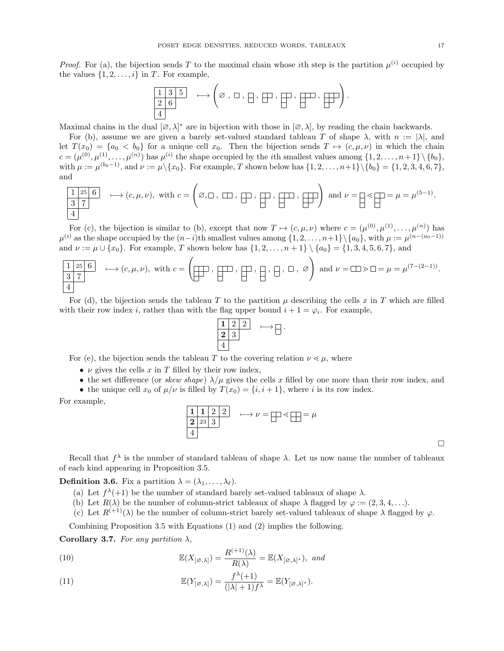*Proof.* For (a), the bijection sends T to the maximal chain whose *i*th step is the partition  $\mu^{(i)}$  occupied by the values  $\{1, 2, \ldots, i\}$  in T. For example,

1 3 5 2 6 4 7−→ ∅ , , , , , , ! .

Maximal chains in the dual  $[\varnothing, \lambda]^*$  are in bijection with those in  $[\varnothing, \lambda]$ , by reading the chain backwards.

For (b), assume we are given a barely set-valued standard tableau T of shape  $\lambda$ , with  $n := |\lambda|$ , and let  $T(x_0) = \{a_0 < b_0\}$  for a unique cell  $x_0$ . Then the bijection sends  $T \mapsto (c, \mu, \nu)$  in which the chain  $c = (\mu^{(0)}, \mu^{(1)}, \ldots, \mu^{(n)})$  has  $\mu^{(i)}$  the shape occupied by the *i*th smallest values among  $\{1, 2, \ldots, n+1\} \setminus \{b_0\},$ with  $\mu := \mu^{(b_0 - 1)}$ , and  $\nu := \mu \setminus \{x_0\}$ . For example, T shown below has  $\{1, 2, ..., n+1\} \setminus \{b_0\} = \{1, 2, 3, 4, 6, 7\}$ , and

$$
\begin{array}{|l|}\n\hline\n1 & 25 \quad 6 \\
\hline\n3 & 7\n\end{array}\n\quad \longmapsto (c, \mu, \nu), \text{ with } c = \left(\varnothing, \square, \square, \square, \square, \square, \square, \square\right), \square, \square, \square\right), \square, \square\right) \text{ and } \nu = \square \leq \square = \mu = \mu^{(5-1)}.
$$

For (c), the bijection is similar to (b), except that now  $T \mapsto (c, \mu, \nu)$  where  $c = (\mu^{(0)}, \mu^{(1)}, \dots, \mu^{(n)})$  has  $\mu^{(i)}$  as the shape occupied by the  $(n-i)$ th smallest values among  $\{1, 2, \ldots, n+1\} \setminus \{a_0\}$ , with  $\mu := \mu^{(n-(a_0-1))}$ and  $\nu := \mu \cup \{x_0\}$ . For example, T shown below has  $\{1, 2, ..., n+1\} \setminus \{a_0\} = \{1, 3, 4, 5, 6, 7\}$ , and

$$
\boxed{\frac{1}{3}\ \frac{25}{7}} \quad \longmapsto (c,\mu,\nu), \text{ with } c = \left(\boxed{\frac{1}{2}} \ , \ \boxed{\frac{1}{2}} \ , \ \boxed{\frac{1}{2}} \ , \ \boxed{\frac{1}{2}} \ , \ \boxed{\frac{1}{2}} \ , \ \boxed{\frac{1}{2}} \ , \ \boxed{\frac{1}{2}} \ , \ \boxed{\frac{1}{2}} \ , \ \boxed{\frac{1}{2}} \ , \ \boxed{\frac{1}{2}} \ , \ \boxed{\frac{1}{2}} \ , \ \boxed{\frac{1}{2}} \ , \ \boxed{\frac{1}{2}} \ , \ \boxed{\frac{1}{2}} \ , \ \boxed{\frac{1}{2}} \ , \ \boxed{\frac{1}{2}} \ , \ \boxed{\frac{1}{2}} \ , \ \boxed{\frac{1}{2}} \ , \ \boxed{\frac{1}{2}} \ , \ \boxed{\frac{1}{2}} \ , \ \boxed{\frac{1}{2}} \ , \ \boxed{\frac{1}{2}} \ , \ \boxed{\frac{1}{2}} \ , \ \boxed{\frac{1}{2}} \ , \ \boxed{\frac{1}{2}} \ , \ \boxed{\frac{1}{2}} \ , \ \boxed{\frac{1}{2}} \ , \ \boxed{\frac{1}{2}} \ , \ \boxed{\frac{1}{2}} \ , \ \boxed{\frac{1}{2}} \ , \ \boxed{\frac{1}{2}} \ , \ \boxed{\frac{1}{2}} \ , \ \boxed{\frac{1}{2}} \ , \ \boxed{\frac{1}{2}} \ , \ \boxed{\frac{1}{2}} \ , \ \boxed{\frac{1}{2}} \ , \ \boxed{\frac{1}{2}} \ , \ \boxed{\frac{1}{2}} \ , \ \boxed{\frac{1}{2}} \ , \ \boxed{\frac{1}{2}} \ , \ \boxed{\frac{1}{2}} \ , \ \boxed{\frac{1}{2}} \ , \ \boxed{\frac{1}{2}} \ , \ \boxed{\frac{1}{2}} \ , \ \boxed{\frac{1}{2}} \ , \ \boxed{\frac{1}{2}} \ , \ \boxed{\frac{1}{2}} \ , \ \boxed{\frac{1}{2}} \ , \ \boxed{\frac{1}{2}} \ , \ \boxed{\frac{1}{2}} \ , \ \boxed{\frac{1}{2}} \ , \ \boxed{\frac{1}{2}} \ , \ \boxed{\frac{1}{2}} \ , \ \boxed{\frac{1}{2}} \ , \ \boxed{\frac{1}{2}} \ , \ \boxed{\frac{1}{2}} \ , \ \boxed{\frac{1}{2}} \ , \ \boxed{\frac{1}{2}} \ , \ \boxed{\frac{1}{2}} \ , \ \boxed{\frac{1}{2}} \ , \ \
$$

For (d), the bijection sends the tableau T to the partition  $\mu$  describing the cells x in T which are filled with their row index *i*, rather than with the flag upper bound  $i + 1 = \varphi_i$ . For example,



For (e), the bijection sends the tableau T to the covering relation  $\nu \leq \mu$ , where

- $\nu$  gives the cells x in T filled by their row index,
- the set difference (or skew shape)  $\lambda/\mu$  gives the cells x filled by one more than their row index, and • the unique cell  $x_0$  of  $\mu/\nu$  is filled by  $T(x_0) = \{i, i + 1\}$ , where i is its row index.

For example,

$$
\begin{array}{c|c}\n1 & 1 & 2 & 2 \\
\hline\n2 & 23 & 3 \\
4\n\end{array}\n\longrightarrow \nu = \square \ll \square = \mu
$$

 $\Box$ 

Recall that  $f^{\lambda}$  is the number of standard tableau of shape  $\lambda$ . Let us now name the number of tableaux of each kind appearing in Proposition 3.5.

**Definition 3.6.** Fix a partition  $\lambda = (\lambda_1, \ldots, \lambda_\ell)$ .

- (a) Let  $f^{\lambda}(+1)$  be the number of standard barely set-valued tableaux of shape  $\lambda$ .
- (b) Let  $R(\lambda)$  be the number of column-strict tableaux of shape  $\lambda$  flagged by  $\varphi := (2, 3, 4, \ldots)$ .

(c) Let  $R^{(+1)}(\lambda)$  be the number of column-strict barely set-valued tableaux of shape  $\lambda$  flagged by  $\varphi$ .

Combining Proposition 3.5 with Equations (1) and (2) implies the following.

Corollary 3.7. For any partition  $\lambda$ ,

(10) 
$$
\mathbb{E}(X_{[\varnothing,\lambda]}) = \frac{R^{(+1)}(\lambda)}{R(\lambda)} = \mathbb{E}(X_{[\varnothing,\lambda]^*}), \text{ and}
$$

(11) 
$$
\mathbb{E}(Y_{[\varnothing,\lambda]}) = \frac{f^{\lambda}(+1)}{(|\lambda|+1)f^{\lambda}} = \mathbb{E}(Y_{[\varnothing,\lambda]^*}).
$$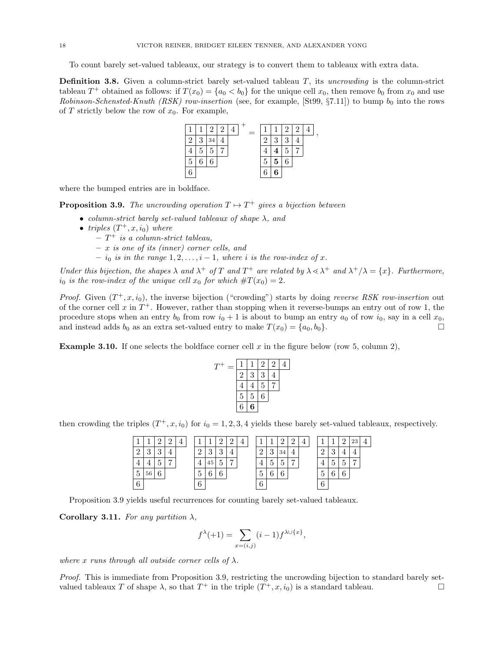To count barely set-valued tableaux, our strategy is to convert them to tableaux with extra data.

**Definition 3.8.** Given a column-strict barely set-valued tableau  $T$ , its uncrowding is the column-strict tableau  $T^+$  obtained as follows: if  $T(x_0) = \{a_0 < b_0\}$  for the unique cell  $x_0$ , then remove  $b_0$  from  $x_0$  and use Robinson-Schensted-Knuth (RSK) row-insertion (see, for example, [St99, §7.11]) to bump  $b_0$  into the rows of  $T$  strictly below the row of  $x_0$ . For example,



where the bumped entries are in boldface.

**Proposition 3.9.** The uncrowding operation  $T \mapsto T^+$  gives a bijection between

- column-strict barely set-valued tableaux of shape  $\lambda$ , and
- triples  $(T^+, x, i_0)$  where
	- $-T^+$  is a column-strict tableau,
	- x is one of its (inner) corner cells, and
	- $i_0$  is in the range  $1, 2, \ldots, i 1$ , where i is the row-index of x.

Under this bijection, the shapes  $\lambda$  and  $\lambda^+$  of T and  $T^+$  are related by  $\lambda \leq \lambda^+$  and  $\lambda^+/\lambda = \{x\}$ . Furthermore,  $i_0$  is the row-index of the unique cell  $x_0$  for which  $\#T(x_0) = 2$ .

*Proof.* Given  $(T^+, x, i_0)$ , the inverse bijection ("crowding") starts by doing reverse RSK row-insertion out of the corner cell  $x$  in  $T^+$ . However, rather than stopping when it reverse-bumps an entry out of row 1, the procedure stops when an entry  $b_0$  from row  $i_0 + 1$  is about to bump an entry  $a_0$  of row  $i_0$ , say in a cell  $x_0$ , and instead adds  $b_0$  as an extra set-valued entry to make  $T(x_0) = \{a_0, b_0\}.$ 

**Example 3.10.** If one selects the boldface corner cell x in the figure below (row 5, column 2),

| T |                |   | $\overline{2}$ | $\overline{2}$ | 4 |
|---|----------------|---|----------------|----------------|---|
|   | $\overline{2}$ | 3 | 3              | 4              |   |
|   | 4              | 4 | 5              |                |   |
|   | 5              | 5 | 6              |                |   |
|   | 6              | 6 |                |                |   |

then crowding the triples  $(T^+, x, i_0)$  for  $i_0 = 1, 2, 3, 4$  yields these barely set-valued tableaux, respectively.

| ×              |               |          | $\Omega$       | 4 |               |          | $\Omega$      |                |  |               |        | ົ       | $\Omega$       |  |          |            |                 | 23 | $\overline{4}$ |
|----------------|---------------|----------|----------------|---|---------------|----------|---------------|----------------|--|---------------|--------|---------|----------------|--|----------|------------|-----------------|----|----------------|
| $\Omega$       | $\Omega$<br>ັ | $\Omega$ |                |   | $\Omega$<br>↵ | $\Omega$ | $\Omega$<br>u |                |  | $\Omega$<br>↩ | ച<br>◡ | 34      |                |  | $\Omega$ | ົ<br>ູ     |                 |    |                |
|                |               |          | $\overline{ }$ |   | 4             | 45       |               | $\overline{ }$ |  |               |        | к<br>IJ | $\overline{ }$ |  |          | -<br>IJ    |                 |    |                |
| $\overline{5}$ | 56            | 6        |                |   | ►<br>G        | ⌒<br>I)  | $\epsilon$    |                |  | Ω             | ◠      | 6       |                |  | ⊍        | $\epsilon$ | $\epsilon$<br>O |    |                |
| 6              |               |          |                |   | 6             |          |               |                |  | 6             |        |         |                |  | 6        |            |                 |    |                |

Proposition 3.9 yields useful recurrences for counting barely set-valued tableaux.

Corollary 3.11. For any partition  $\lambda$ ,

$$
f^{\lambda}(+1) = \sum_{x=(i,j)} (i-1) f^{\lambda \cup \{x\}},
$$

where x runs through all outside corner cells of  $\lambda$ .

Proof. This is immediate from Proposition 3.9, restricting the uncrowding bijection to standard barely setvalued tableaux T of shape  $\lambda$ , so that  $T^+$  in the triple  $(T^+, x, i_0)$  is a standard tableau.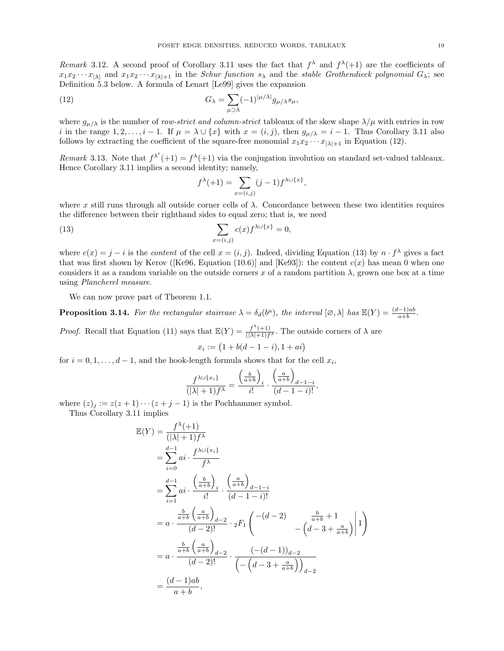Remark 3.12. A second proof of Corollary 3.11 uses the fact that  $f^{\lambda}$  and  $f^{\lambda}(+1)$  are the coefficients of  $x_1x_2 \cdots x_{|\lambda|}$  and  $x_1x_2 \cdots x_{|\lambda|+1}$  in the Schur function  $s_\lambda$  and the stable Grothendieck polynomial  $G_\lambda$ ; see Definition 5.3 below. A formula of Lenart [Le99] gives the expansion

(12) 
$$
G_{\lambda} = \sum_{\mu \supset \lambda} (-1)^{|\mu/\lambda|} g_{\mu/\lambda} s_{\mu},
$$

where  $g_{\mu/\lambda}$  is the number of row-strict and column-strict tableaux of the skew shape  $\lambda/\mu$  with entries in row i in the range  $1, 2, \ldots, i-1$ . If  $\mu = \lambda \cup \{x\}$  with  $x = (i, j)$ , then  $g_{\mu/\lambda} = i - 1$ . Thus Corollary 3.11 also follows by extracting the coefficient of the square-free monomial  $x_1x_2 \cdots x_{|\lambda|+1}$  in Equation (12).

Remark 3.13. Note that  $f^{\lambda^t}(+1) = f^{\lambda}(+1)$  via the conjugation involution on standard set-valued tableaux. Hence Corollary 3.11 implies a second identity; namely,

$$
f^{\lambda}(+1) = \sum_{x=(i,j)} (j-1) f^{\lambda \cup \{x\}},
$$

where x still runs through all outside corner cells of  $\lambda$ . Concordance between these two identities requires the difference between their righthand sides to equal zero; that is, we need

(13) 
$$
\sum_{x=(i,j)} c(x) f^{\lambda \cup \{x\}} = 0,
$$

where  $c(x) = j - i$  is the *content* of the cell  $x = (i, j)$ . Indeed, dividing Equation (13) by  $n \cdot f^{\lambda}$  gives a fact that was first shown by Kerov ([Ke96, Equation (10.6)] and [Ke93]): the content  $c(x)$  has mean 0 when one considers it as a random variable on the outside corners x of a random partition  $\lambda$ , grown one box at a time using Plancherel measure.

We can now prove part of Theorem 1.1.

**Proposition 3.14.** For the rectangular staircase  $\lambda = \delta_d(b^a)$ , the interval  $[\varnothing, \lambda]$  has  $\mathbb{E}(Y) = \frac{(d-1)ab}{a+b}$ .

*Proof.* Recall that Equation (11) says that  $\mathbb{E}(Y) = \frac{f^{\lambda}(+1)}{(|\lambda|+1)f^{\lambda}}$ . The outside corners of  $\lambda$  are  $x_i := (1 + b(d - 1 - i), 1 + ai)$ 

for  $i = 0, 1, \ldots, d - 1$ , and the hook-length formula shows that for the cell  $x_i$ ,

$$
\frac{f^{\lambda \cup \{x_i\}}}{(|\lambda|+1)f^{\lambda}} = \frac{\left(\frac{b}{a+b}\right)_i}{i!} \cdot \frac{\left(\frac{a}{a+b}\right)_{d-1-i}}{(d-1-i)!},
$$

where  $(z)_j := z(z+1)\cdots(z+j-1)$  is the Pochhammer symbol.

Thus Corollary 3.11 implies

$$
\mathbb{E}(Y) = \frac{f^{\lambda}(+1)}{(|\lambda|+1)f^{\lambda}}
$$
\n
$$
= \sum_{i=0}^{d-1} ai \cdot \frac{f^{\lambda \cup \{x_i\}}}{f^{\lambda}}
$$
\n
$$
= \sum_{i=1}^{d-1} ai \cdot \frac{\left(\frac{b}{a+b}\right)_i}{i!} \cdot \frac{\left(\frac{a}{a+b}\right)_{d-1-i}}{(d-1-i)!}
$$
\n
$$
= a \cdot \frac{\frac{b}{a+b} \left(\frac{a}{a+b}\right)_{d-2}}{(d-2)!} \cdot {}_2F_1 \left( \frac{-(d-2)}{-(d-3+\frac{a}{a+b})} \right| 1 \right)
$$
\n
$$
= a \cdot \frac{\frac{b}{a+b} \left(\frac{a}{a+b}\right)_{d-2}}{(d-2)!} \cdot \frac{(-(d-1))_{d-2}}{\left(-(d-3+\frac{a}{a+b})\right)_{d-2}}
$$
\n
$$
= \frac{(d-1)ab}{a+b},
$$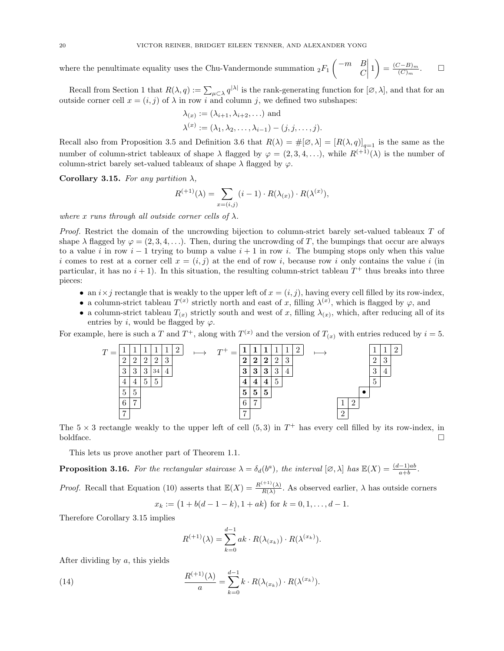where the penultimate equality uses the Chu-Vandermonde summation  ${}_2F_1$   $\begin{pmatrix} -m & B \\ C & C \end{pmatrix}$  $\mathcal{C}_{0}^{(n)}$  $\begin{array}{c} \hline \rule{0pt}{2ex} \rule{0pt}{2ex} \rule{0pt}{2ex} \rule{0pt}{2ex} \rule{0pt}{2ex} \rule{0pt}{2ex} \rule{0pt}{2ex} \rule{0pt}{2ex} \rule{0pt}{2ex} \rule{0pt}{2ex} \rule{0pt}{2ex} \rule{0pt}{2ex} \rule{0pt}{2ex} \rule{0pt}{2ex} \rule{0pt}{2ex} \rule{0pt}{2ex} \rule{0pt}{2ex} \rule{0pt}{2ex} \rule{0pt}{2ex} \rule{0pt}{2ex} \rule{0pt}{2ex} \rule{0pt}{2ex} \rule{0pt}{2ex} \rule{$  $1=\frac{(C-B)_m}{(C)}$  $(C)<sub>m</sub>$  $\Box$ 

Recall from Section 1 that  $R(\lambda, q) := \sum_{\mu \subset \lambda} q^{|\lambda|}$  is the rank-generating function for  $[\varnothing, \lambda]$ , and that for an outside corner cell  $x = (i, j)$  of  $\lambda$  in row i and column j, we defined two subshapes:

$$
\lambda_{(x)} := (\lambda_{i+1}, \lambda_{i+2}, \ldots) \text{ and}
$$

$$
\lambda^{(x)} := (\lambda_1, \lambda_2, \ldots, \lambda_{i-1}) - (j, j, \ldots, j).
$$

Recall also from Proposition 3.5 and Definition 3.6 that  $R(\lambda) = \#[\varnothing, \lambda] = [R(\lambda, q)]_{q=1}$  is the same as the number of column-strict tableaux of shape  $\lambda$  flagged by  $\varphi = (2, 3, 4, \ldots)$ , while  $R^{(+1)}(\lambda)$  is the number of column-strict barely set-valued tableaux of shape  $\lambda$  flagged by  $\varphi$ .

Corollary 3.15. For any partition  $\lambda$ ,

$$
R^{(+1)}(\lambda) = \sum_{x=(i,j)} (i-1) \cdot R(\lambda_{(x)}) \cdot R(\lambda^{(x)}),
$$

where x runs through all outside corner cells of  $\lambda$ .

Proof. Restrict the domain of the uncrowding bijection to column-strict barely set-valued tableaux T of shape  $\lambda$  flagged by  $\varphi = (2, 3, 4, \ldots)$ . Then, during the uncrowding of T, the bumpings that occur are always to a value i in row  $i-1$  trying to bump a value  $i+1$  in row i. The bumping stops only when this value i comes to rest at a corner cell  $x = (i, j)$  at the end of row i, because row i only contains the value i (in particular, it has no  $i + 1$ ). In this situation, the resulting column-strict tableau  $T^+$  thus breaks into three pieces:

- an  $i \times j$  rectangle that is weakly to the upper left of  $x = (i, j)$ , having every cell filled by its row-index,
- a column-strict tableau  $T^{(x)}$  strictly north and east of x, filling  $\lambda^{(x)}$ , which is flagged by  $\varphi$ , and
- a column-strict tableau  $T(x)$  strictly south and west of x, filling  $\lambda(x)$ , which, after reducing all of its entries by i, would be flagged by  $\varphi$ .

For example, here is such a T and  $T^+$ , along with  $T^{(x)}$  and the version of  $T_{(x)}$  with entries reduced by  $i = 5$ .



The  $5 \times 3$  rectangle weakly to the upper left of cell  $(5,3)$  in  $T^+$  has every cell filled by its row-index, in boldface.

This lets us prove another part of Theorem 1.1.

**Proposition 3.16.** For the rectangular staircase  $\lambda = \delta_d(b^a)$ , the interval  $[\varnothing, \lambda]$  has  $\mathbb{E}(X) = \frac{(d-1)ab}{a+b}$ .

*Proof.* Recall that Equation (10) asserts that  $\mathbb{E}(X) = \frac{R^{(+1)}(\lambda)}{R(\lambda)}$  $\frac{R(\lambda)}{R(\lambda)}$ . As observed earlier,  $\lambda$  has outside corners  $x_k := (1 + b(d - 1 - k), 1 + ak)$  for  $k = 0, 1, ..., d - 1$ .

Therefore Corollary 3.15 implies

$$
R^{(+1)}(\lambda) = \sum_{k=0}^{d-1} ak \cdot R(\lambda_{(x_k)}) \cdot R(\lambda^{(x_k)}).
$$

After dividing by a, this yields

(14) 
$$
\frac{R^{(+1)}(\lambda)}{a} = \sum_{k=0}^{d-1} k \cdot R(\lambda_{(x_k)}) \cdot R(\lambda^{(x_k)}).
$$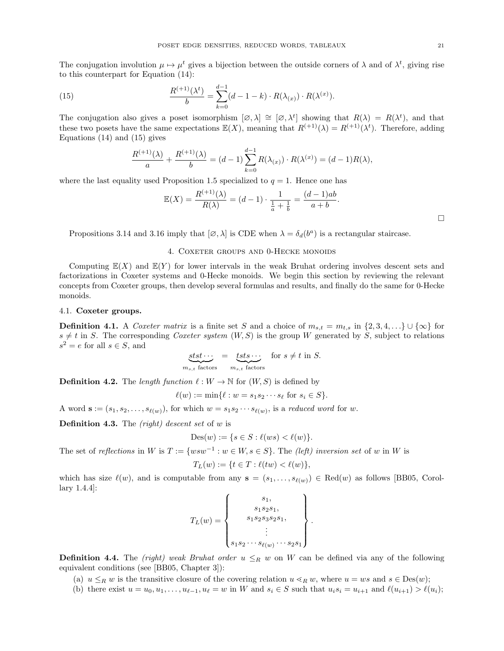The conjugation involution  $\mu \mapsto \mu^t$  gives a bijection between the outside corners of  $\lambda$  and of  $\lambda^t$ , giving rise to this counterpart for Equation (14):

(15) 
$$
\frac{R^{(+1)}(\lambda^t)}{b} = \sum_{k=0}^{d-1} (d-1-k) \cdot R(\lambda_{(x)}) \cdot R(\lambda^{(x)}).
$$

The conjugation also gives a poset isomorphism  $[\varnothing, \lambda] \cong [\varnothing, \lambda^t]$  showing that  $R(\lambda) = R(\lambda^t)$ , and that these two posets have the same expectations  $\mathbb{E}(X)$ , meaning that  $R^{(+1)}(\lambda) = R^{(+1)}(\lambda^t)$ . Therefore, adding Equations (14) and (15) gives

$$
\frac{R^{(+1)}(\lambda)}{a} + \frac{R^{(+1)}(\lambda)}{b} = (d-1)\sum_{k=0}^{d-1} R(\lambda_{(x)}) \cdot R(\lambda^{(x)}) = (d-1)R(\lambda),
$$

where the last equality used Proposition 1.5 specialized to  $q = 1$ . Hence one has

$$
\mathbb{E}(X) = \frac{R^{(+1)}(\lambda)}{R(\lambda)} = (d-1) \cdot \frac{1}{\frac{1}{a} + \frac{1}{b}} = \frac{(d-1)ab}{a+b}.
$$

Propositions 3.14 and 3.16 imply that  $[\emptyset, \lambda]$  is CDE when  $\lambda = \delta_d(b^a)$  is a rectangular staircase.

## 4. COXETER GROUPS AND 0-HECKE MONOIDS

Computing  $E(X)$  and  $E(Y)$  for lower intervals in the weak Bruhat ordering involves descent sets and factorizations in Coxeter systems and 0-Hecke monoids. We begin this section by reviewing the relevant concepts from Coxeter groups, then develop several formulas and results, and finally do the same for 0-Hecke monoids.

# 4.1. Coxeter groups.

**Definition 4.1.** A Coxeter matrix is a finite set S and a choice of  $m_{s,t} = m_{t,s}$  in  $\{2, 3, 4, ...\}\cup \{\infty\}$  for  $s \neq t$  in S. The corresponding Coxeter system  $(W, S)$  is the group W generated by S, subject to relations  $s^2 = e$  for all  $s \in S$ , and

$$
\underbrace{sts\cdots}_{m_{s,t} \text{ factors}} = \underbrace{tsts\cdots}_{m_{s,t} \text{ factors}} \text{ for } s \neq t \text{ in } S.
$$

**Definition 4.2.** The length function  $\ell : W \to \mathbb{N}$  for  $(W, S)$  is defined by

$$
\ell(w) := \min\{\ell : w = s_1 s_2 \cdots s_\ell \text{ for } s_i \in S\}.
$$

A word  $\mathbf{s} := (s_1, s_2, \ldots, s_{\ell(w)})$ , for which  $w = s_1 s_2 \cdots s_{\ell(w)}$ , is a reduced word for w.

**Definition 4.3.** The  $(\text{right})$  descent set of w is

$$
Des(w) := \{ s \in S : \ell(ws) < \ell(w) \}.
$$

The set of reflections in W is  $T := \{ wsw^{-1} : w \in W, s \in S \}$ . The (left) inversion set of w in W is

$$
T_L(w) := \{ t \in T : \ell(tw) < \ell(w) \},
$$

which has size  $\ell(w)$ , and is computable from any  $s = (s_1, \ldots, s_{\ell(w)}) \in \text{Red}(w)$  as follows [BB05, Corollary 1.4.4]:

$$
T_L(w) = \begin{Bmatrix} s_1, \\ s_1 s_2 s_3, \\ s_1 s_2 s_3 s_2 s_1, \\ \vdots \\ s_1 s_2 \cdots s_{\ell(w)} \cdots s_2 s_1 \end{Bmatrix}.
$$

**Definition 4.4.** The (right) weak Bruhat order  $u \leq_R w$  on W can be defined via any of the following equivalent conditions (see [BB05, Chapter 3]):

- (a)  $u \leq_R w$  is the transitive closure of the covering relation  $u \leq_R w$ , where  $u = ws$  and  $s \in Des(w);$
- (b) there exist  $u = u_0, u_1, \ldots, u_{\ell-1}, u_{\ell} = w$  in W and  $s_i \in S$  such that  $u_i s_i = u_{i+1}$  and  $\ell(u_{i+1}) > \ell(u_i);$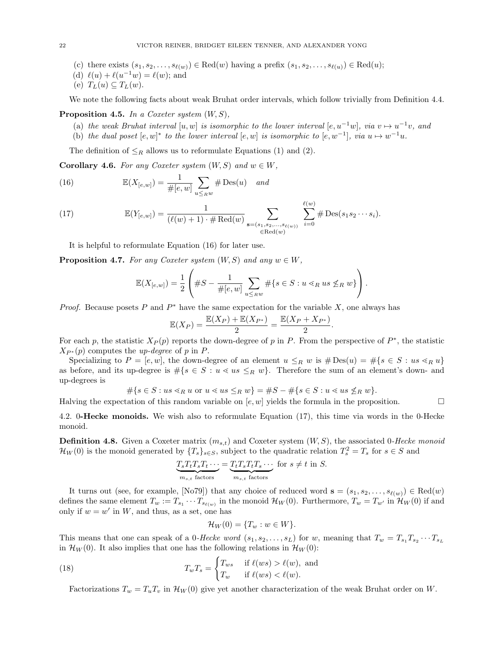- (c) there exists  $(s_1, s_2, \ldots, s_{\ell(w)}) \in \text{Red}(w)$  having a prefix  $(s_1, s_2, \ldots, s_{\ell(u)}) \in \text{Red}(u);$
- (d)  $\ell(u) + \ell(u^{-1}w) = \ell(w)$ ; and
- (e)  $T_L(u) \subseteq T_L(w)$ .

We note the following facts about weak Bruhat order intervals, which follow trivially from Definition 4.4.

### **Proposition 4.5.** In a Coxeter system  $(W, S)$ ,

- (a) the weak Bruhat interval  $[u, w]$  is isomorphic to the lower interval  $[e, u^{-1}w]$ , via  $v \mapsto u^{-1}v$ , and
- (b) the dual poset  $[e, w]^*$  to the lower interval  $[e, w]$  is isomorphic to  $[e, w^{-1}]$ , via  $u \mapsto w^{-1}u$ .

The definition of  $\leq_R$  allows us to reformulate Equations (1) and (2).

**Corollary 4.6.** For any Coxeter system  $(W, S)$  and  $w \in W$ ,

(16) 
$$
\mathbb{E}(X_{[e,w]}) = \frac{1}{\#[e,w]} \sum_{u \leq_R w} \# \operatorname{Des}(u) \quad \text{and}
$$

(17) 
$$
\mathbb{E}(Y_{[e,w]}) = \frac{1}{(\ell(w)+1) \cdot \# \text{Red}(w)} \sum_{\substack{\mathbf{s}=(s_1,s_2,\ldots,s_{\ell(w)}) \\ \in \text{Red}(w)}} \sum_{i=0}^{\ell(w)} \# \text{Des}(s_1s_2\cdots s_i).
$$

It is helpful to reformulate Equation (16) for later use.

**Proposition 4.7.** For any Coxeter system  $(W, S)$  and any  $w \in W$ ,

$$
\mathbb{E}(X_{[e,w]}) = \frac{1}{2} \left( \#S - \frac{1}{\#[e,w]} \sum_{u \leq_R w} \# \{ s \in S : u \lessdot_R u s \not\leq_R w \} \right).
$$

*Proof.* Because posets P and  $P^*$  have the same expectation for the variable X, one always has

$$
\mathbb{E}(X_P) = \frac{\mathbb{E}(X_P) + \mathbb{E}(X_{P^*})}{2} = \frac{\mathbb{E}(X_P + X_{P^*})}{2}.
$$

For each p, the statistic  $X_P(p)$  reports the down-degree of p in P. From the perspective of  $P^*$ , the statistic  $X_{P^*}(p)$  computes the *up-degree* of p in P.

Specializing to  $P = [e, w]$ , the down-degree of an element  $u \leq_R w$  is  $\# \text{Des}(u) = \# \{s \in S : us \leq_R u\}$ as before, and its up-degree is  $\#\{s \in S : u \leq us \leq_R w\}$ . Therefore the sum of an element's down- and up-degrees is

$$
\# \{ s \in S : us \lessdot_R u \text{ or } u \lessdot us \leq_R w \} = \# S - \# \{ s \in S : u \lessdot us \not\leq_R w \}.
$$

Halving the expectation of this random variable on  $[e, w]$  yields the formula in the proposition.

4.2. 0-Hecke monoids. We wish also to reformulate Equation (17), this time via words in the 0-Hecke monoid.

**Definition 4.8.** Given a Coxeter matrix  $(m_{s,t})$  and Coxeter system  $(W, S)$ , the associated 0-Hecke monoid  $\mathcal{H}_W(0)$  is the monoid generated by  $\{T_s\}_{s\in S}$ , subject to the quadratic relation  $T_s^2 = T_s$  for  $s \in S$  and

$$
\underbrace{T_s T_t T_s T_t \cdots}_{m_{s,t} \text{ factors}} = \underbrace{T_t T_s T_t T_s \cdots}_{m_{s,t} \text{ factors}} \text{ for } s \neq t \text{ in } S.
$$

It turns out (see, for example, [No79]) that any choice of reduced word  $\mathbf{s} = (s_1, s_2, \ldots, s_{\ell(w)}) \in \text{Red}(w)$ defines the same element  $T_w := T_{s_1} \cdots T_{s_{\ell(w)}}$  in the monoid  $\mathcal{H}_W(0)$ . Furthermore,  $T_w = T_{w'}$  in  $\mathcal{H}_W(0)$  if and only if  $w = w'$  in W, and thus, as a set, one has

$$
\mathcal{H}_W(0) = \{T_w : w \in W\}.
$$

This means that one can speak of a 0-Hecke word  $(s_1, s_2, \ldots, s_L)$  for w, meaning that  $T_w = T_{s_1} T_{s_2} \cdots T_{s_L}$ in  $\mathcal{H}_W(0)$ . It also implies that one has the following relations in  $\mathcal{H}_W(0)$ :

(18) 
$$
T_w T_s = \begin{cases} T_{ws} & \text{if } \ell(ws) > \ell(w), \text{ and} \\ T_w & \text{if } \ell(ws) < \ell(w). \end{cases}
$$

Factorizations  $T_w = T_u T_v$  in  $\mathcal{H}_W(0)$  give yet another characterization of the weak Bruhat order on W.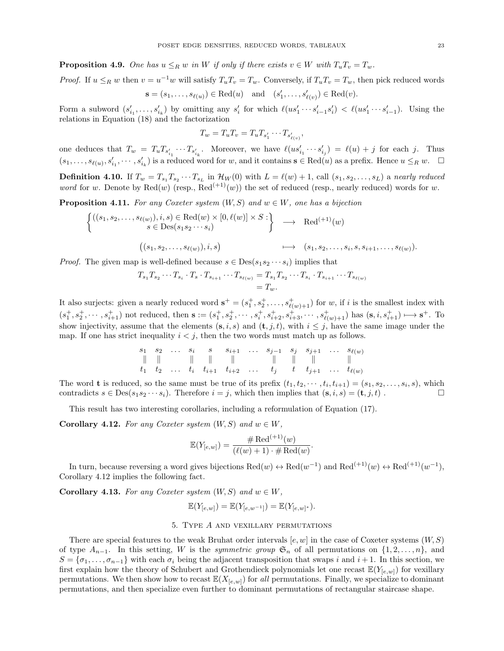**Proposition 4.9.** One has  $u \leq_R w$  in W if only if there exists  $v \in W$  with  $T_u T_v = T_w$ .

*Proof.* If  $u \leq_R w$  then  $v = u^{-1}w$  will satisfy  $T_u T_v = T_w$ . Conversely, if  $T_u T_v = T_w$ , then pick reduced words  $\mathbf{s} = (s_1, \dots, s_{\ell(u)}) \in \text{Red}(u) \text{ and } (s'_1, \dots, s'_{\ell(v)}) \in \text{Red}(v).$ 

Form a subword  $(s'_{i_1},\ldots,s'_{i_k})$  by omitting any  $s'_i$  for which  $\ell(us'_1\cdots s'_{i-1}s'_i) < \ell(us'_1\cdots s'_{i-1})$ . Using the relations in Equation (18) and the factorization

$$
T_w = T_u T_v = T_u T_{s'_1} \cdots T_{s'_{\ell(v)}}
$$

,

one deduces that  $T_w = T_u T_{s'_{i_1}} \cdots T_{s'_{i_k}}$ . Moreover, we have  $\ell(us'_{i_1} \cdots s'_{i_j}) = \ell(u) + j$  for each j. Thus  $(s_1,\ldots,s_{\ell(u)},s'_{i_1},\cdots,s'_{i_k})$  is a reduced word for w, and it contains  $\mathbf{s} \in \text{Red}(u)$  as a prefix. Hence  $u \leq_R w$ .  $\Box$ 

**Definition 4.10.** If  $T_w = T_{s_1} T_{s_2} \cdots T_{s_L}$  in  $\mathcal{H}_W(0)$  with  $L = \ell(w) + 1$ , call  $(s_1, s_2, \ldots, s_L)$  a nearly reduced word for w. Denote by  $\text{Red}(w)$  (resp.,  $\text{Red}^{(+1)}(w)$ ) the set of reduced (resp., nearly reduced) words for w.

**Proposition 4.11.** For any Coxeter system  $(W, S)$  and  $w \in W$ , one has a bijection

$$
\begin{cases}\n((s_1, s_2, \ldots, s_{\ell(w)}), i, s) \in \text{Red}(w) \times [0, \ell(w)] \times S: \\
 s \in \text{Des}(s_1 s_2 \cdots s_i) & \longrightarrow \text{Red}^{(+1)}(w) \\
((s_1, s_2, \ldots, s_{\ell(w)}), i, s) & \longmapsto (s_1, s_2, \ldots, s_i, s, s_{i+1}, \ldots, s_{\ell(w)})\n\end{cases}
$$

*Proof.* The given map is well-defined because  $s \in Des(s_1s_2 \cdots s_i)$  implies that

$$
T_{s_1}T_{s_2}\cdots T_{s_i}\cdot T_s\cdot T_{s_{i+1}}\cdots T_{s_{\ell(w)}} = T_{s_1}T_{s_2}\cdots T_{s_i}\cdot T_{s_{i+1}}\cdots T_{s_{\ell(w)}} = T_w.
$$

It also surjects: given a nearly reduced word  $\mathbf{s}^+ = (s_1^+, s_2^+, \ldots, s_{\ell(w)+1}^+)$  for w, if i is the smallest index with  $(s_1^+, s_2^+, \cdots, s_{i+1}^+)$  not reduced, then  $\mathbf{s} := (s_1^+, s_2^+, \cdots, s_i^+, s_{i+2}^+, s_{i+3}^+, \cdots, s_{\ell(w)+1}^+)$  has  $(\mathbf{s}, i, s_{i+1}^+) \mapsto \mathbf{s}^+$ . To show injectivity, assume that the elements  $(s, i, s)$  and  $(t, j, t)$ , with  $i \leq j$ , have the same image under the map. If one has strict inequality  $i < j$ , then the two words must match up as follows.

$$
\begin{array}{ccccccccccc}\ns_1 & s_2 & \ldots & s_i & s & s_{i+1} & \ldots & s_{j-1} & s_j & s_{j+1} & \ldots & s_{\ell(w)} \\
\parallel & \parallel & & \parallel & \parallel & & \parallel & & \parallel & & \parallel & & \parallel \\
t_1 & t_2 & \ldots & t_i & t_{i+1} & t_{i+2} & \ldots & t_j & t & t_{j+1} & \ldots & t_{\ell(w)}\n\end{array}
$$

The word **t** is reduced, so the same must be true of its prefix  $(t_1, t_2, \dots, t_i, t_{i+1}) = (s_1, s_2, \dots, s_i, s)$ , which contradicts  $s \in \text{Des}(s_1s_2\cdots s_i)$ . Therefore  $i = j$ , which then implies that  $(s, i, s) = (\mathbf{t}, j, t)$ .

This result has two interesting corollaries, including a reformulation of Equation (17).

Corollary 4.12. For any Coxeter system  $(W, S)$  and  $w \in W$ ,

$$
\mathbb{E}(Y_{[e,w]}) = \frac{\# \text{Red}^{(+1)}(w)}{(\ell(w) + 1) \cdot \# \text{Red}(w)}
$$

.

In turn, because reversing a word gives bijections  $\text{Red}(w) \leftrightarrow \text{Red}(w^{-1})$  and  $\text{Red}^{(+1)}(w) \leftrightarrow \text{Red}^{(+1)}(w^{-1})$ , Corollary 4.12 implies the following fact.

Corollary 4.13. For any Coxeter system  $(W, S)$  and  $w \in W$ ,

$$
\mathbb{E}(Y_{[e,w]}) = \mathbb{E}(Y_{[e,w^{-1}]}) = \mathbb{E}(Y_{[e,w]^*}).
$$

### 5. Type A and vexillary permutations

There are special features to the weak Bruhat order intervals  $[e, w]$  in the case of Coxeter systems  $(W, S)$ of type  $A_{n-1}$ . In this setting, W is the *symmetric group*  $\mathfrak{S}_n$  of all permutations on  $\{1, 2, \ldots, n\}$ , and  $S = \{\sigma_1, \ldots, \sigma_{n-1}\}\$  with each  $\sigma_i$  being the adjacent transposition that swaps i and i + 1. In this section, we first explain how the theory of Schubert and Grothendieck polynomials let one recast  $\mathbb{E}(Y_{[e,w]})$  for vexillary permutations. We then show how to recast  $\mathbb{E}(X_{[e,w]})$  for all permutations. Finally, we specialize to dominant permutations, and then specialize even further to dominant permutations of rectangular staircase shape.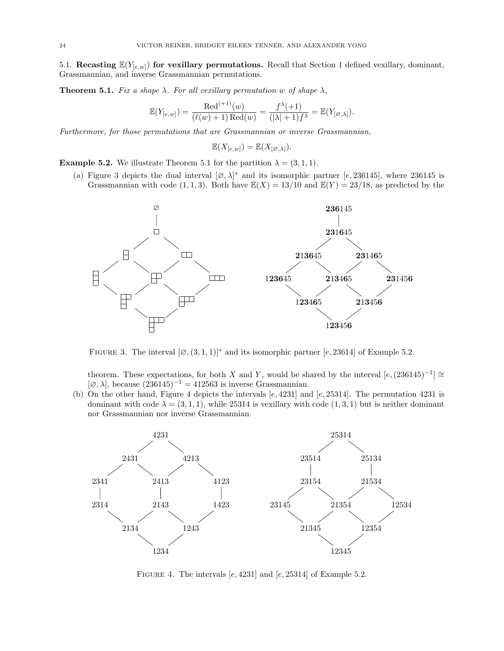5.1. Recasting  $\mathbb{E}(Y_{[e,w]})$  for vexillary permutations. Recall that Section 1 defined vexillary, dominant, Grassmannian, and inverse Grassmannian permutations.

**Theorem 5.1.** Fix a shape  $\lambda$ . For all vexillary permutation w of shape  $\lambda$ ,

$$
\mathbb{E}(Y_{[e,w]})=\frac{\text{Red}^{(+1)}(w)}{(\ell(w)+1)\text{Red}(w)}=\frac{f^{\lambda}(+1)}{(|\lambda|+1)f^{\lambda}}=\mathbb{E}(Y_{[\varnothing,\lambda]}).
$$

Furthermore, for those permutations that are Grassmannian or inverse Grassmannian,

$$
\mathbb{E}(X_{[e,w]}) = \mathbb{E}(X_{[\varnothing,\lambda]}).
$$

**Example 5.2.** We illustrate Theorem 5.1 for the partition  $\lambda = (3, 1, 1)$ .

(a) Figure 3 depicts the dual interval  $[\varnothing, \lambda]^*$  and its isomorphic partner [e, 236145], where 236145 is Grassmannian with code  $(1, 1, 3)$ . Both have  $\mathbb{E}(X) = 13/10$  and  $\mathbb{E}(Y) = 23/18$ , as predicted by the



FIGURE 3. The interval  $[\emptyset, (3,1,1)]^*$  and its isomorphic partner  $[e, 23614]$  of Example 5.2.

theorem. These expectations, for both X and Y, would be shared by the interval  $[e,(236145)^{-1}] \cong$  $[\emptyset, \lambda]$ , because  $(236145)^{-1} = 412563$  is inverse Grassmannian.

(b) On the other hand, Figure 4 depicts the intervals  $[e, 4231]$  and  $[e, 25314]$ . The permutation 4231 is dominant with code  $\lambda = (3, 1, 1)$ , while 25314 is vexillary with code  $(1, 3, 1)$  but is neither dominant nor Grassmannian nor inverse Grassmannian.



FIGURE 4. The intervals  $[e, 4231]$  and  $[e, 25314]$  of Example 5.2.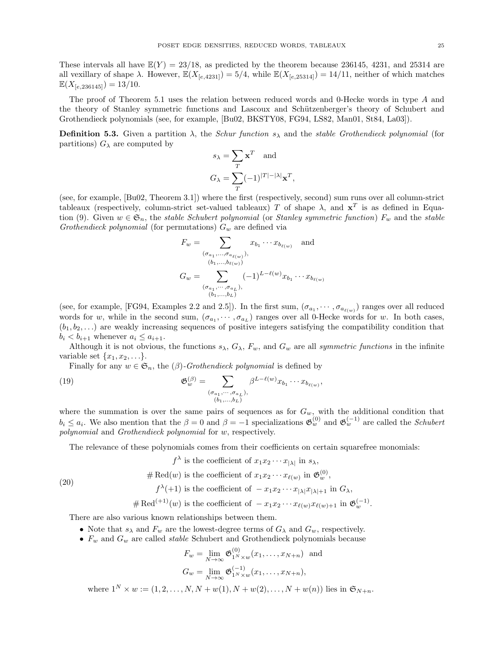These intervals all have  $\mathbb{E}(Y) = 23/18$ , as predicted by the theorem because 236145, 4231, and 25314 are all vexillary of shape  $\lambda$ . However,  $\mathbb{E}(X_{[e,4231]}) = 5/4$ , while  $\mathbb{E}(X_{[e,25314]}) = 14/11$ , neither of which matches  $\mathbb{E}(X_{[e,236145]}) = 13/10.$ 

The proof of Theorem 5.1 uses the relation between reduced words and 0-Hecke words in type A and the theory of Stanley symmetric functions and Lascoux and Schützenberger's theory of Schubert and Grothendieck polynomials (see, for example, [Bu02, BKSTY08, FG94, LS82, Man01, St84, La03]).

**Definition 5.3.** Given a partition  $\lambda$ , the *Schur function*  $s_{\lambda}$  and the *stable Grothendieck polynomial* (for partitions)  $G_{\lambda}$  are computed by

$$
s_{\lambda} = \sum_{T} \mathbf{x}^{T} \text{ and}
$$

$$
G_{\lambda} = \sum_{T} (-1)^{|T| - |\lambda|} \mathbf{x}^{T},
$$

(see, for example, [Bu02, Theorem 3.1]) where the first (respectively, second) sum runs over all column-strict tableaux (respectively, column-strict set-valued tableaux) T of shape  $\lambda$ , and  $x^T$  is as defined in Equation (9). Given  $w \in \mathfrak{S}_n$ , the stable Schubert polynomial (or Stanley symmetric function)  $F_w$  and the stable Grothendieck polynomial (for permutations)  $G_w$  are defined via

$$
F_w = \sum_{\substack{(\sigma_{a_1}, \dots, \sigma_{a_{\ell(w)}}), \\ (b_1, \dots, b_{\ell(w)})}} x_{b_1} \cdots x_{b_{\ell(w)}} \quad \text{and} \quad
$$

$$
G_w = \sum_{\substack{(\sigma_{a_1}, \dots, \sigma_{a_L}), \\ (b_1, \dots, b_L)}} (-1)^{L - \ell(w)} x_{b_1} \cdots x_{b_{\ell(w)}}
$$

(see, for example, [FG94, Examples 2.2 and 2.5]). In the first sum,  $(\sigma_{a_1}, \cdots, \sigma_{a_{\ell(w)}})$  ranges over all reduced words for w, while in the second sum,  $(\sigma_{a_1}, \cdots, \sigma_{a_L})$  ranges over all 0-Hecke words for w. In both cases,  $(b_1, b_2, \ldots)$  are weakly increasing sequences of positive integers satisfying the compatibility condition that  $b_i < b_{i+1}$  whenever  $a_i \leq a_{i+1}$ .

Although it is not obvious, the functions  $s_{\lambda}$ ,  $G_{\lambda}$ ,  $F_w$ , and  $G_w$  are all *symmetric functions* in the infinite variable set  $\{x_1, x_2, \ldots\}$ .

Finally for any  $w \in \mathfrak{S}_n$ , the  $(\beta)$ -*Grothendieck polynomial* is defined by

(19) 
$$
\mathfrak{G}_{w}^{(\beta)} = \sum_{\substack{(\sigma_{a_1}, \cdots, \sigma_{a_L}),\\(b_1, \ldots, b_L)}} \beta^{L-\ell(w)} x_{b_1} \cdots x_{b_{\ell(w)}},
$$

where the summation is over the same pairs of sequences as for  $G_w$ , with the additional condition that  $b_i \le a_i$ . We also mention that the  $\beta = 0$  and  $\beta = -1$  specializations  $\mathfrak{G}_w^{(0)}$  and  $\mathfrak{G}_w^{(-1)}$  are called the *Schubert* polynomial and Grothendieck polynomial for w, respectively.

The relevance of these polynomials comes from their coefficients on certain squarefree monomials:

$$
f^{\lambda}
$$
 is the coefficient of  $x_1 x_2 \cdots x_{|\lambda|}$  in  $s_{\lambda}$ ,

# Red $(w)$  is the coefficient of  $x_1 x_2 \cdots x_{\ell(w)}$  in  $\mathfrak{G}_w^{(0)}$ ,

$$
(20)
$$

$$
f^{\lambda}(+1)
$$
 is the coefficient of  $-x_1x_2\cdots x_{|\lambda|}x_{|\lambda|+1}$  in  $G_{\lambda}$ ,

 $\#\text{Red}^{(+1)}(w)$  is the coefficient of  $-x_1x_2\cdots x_{\ell(w)}x_{\ell(w)+1}$  in  $\mathfrak{G}_w^{(-1)}$ .

There are also various known relationships between them.

- Note that  $s_{\lambda}$  and  $F_w$  are the lowest-degree terms of  $G_{\lambda}$  and  $G_w$ , respectively.
- $F_w$  and  $G_w$  are called *stable* Schubert and Grothendieck polynomials because

$$
F_w = \lim_{N \to \infty} \mathfrak{G}_{1^N \times w}^{(0)}(x_1, \dots, x_{N+n})
$$
 and  

$$
G_w = \lim_{N \to \infty} \mathfrak{G}_{1^N \times w}^{(-1)}(x_1, \dots, x_{N+n}),
$$

where  $1^N \times w := (1, 2, ..., N, N + w(1), N + w(2), ..., N + w(n))$  lies in  $\mathfrak{S}_{N+n}$ .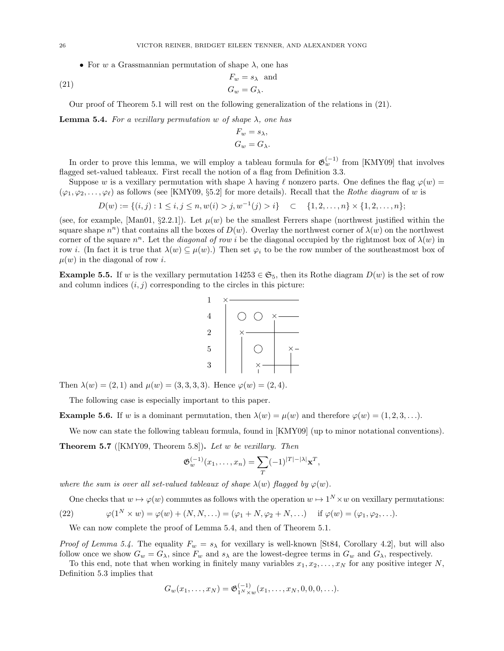• For w a Grassmannian permutation of shape  $\lambda$ , one has

(21) 
$$
F_w = s_{\lambda} \text{ and } G_w = G_{\lambda}.
$$

Our proof of Theorem 5.1 will rest on the following generalization of the relations in (21).

**Lemma 5.4.** For a vexillary permutation w of shape  $\lambda$ , one has

$$
F_w = s_\lambda,
$$
  
\n
$$
G_w = G_\lambda.
$$

In order to prove this lemma, we will employ a tableau formula for  $\mathfrak{G}_w^{(-1)}$  from [KMY09] that involves flagged set-valued tableaux. First recall the notion of a flag from Definition 3.3.

Suppose w is a vexillary permutation with shape  $\lambda$  having  $\ell$  nonzero parts. One defines the flag  $\varphi(w)$  =  $(\varphi_1, \varphi_2, \ldots, \varphi_\ell)$  as follows (see [KMY09, §5.2] for more details). Recall that the *Rothe diagram* of w is

$$
D(w) := \{ (i, j) : 1 \le i, j \le n, w(i) > j, w^{-1}(j) > i \} \quad \subset \quad \{ 1, 2, \dots, n \} \times \{ 1, 2, \dots, n \};
$$

(see, for example, [Man01, §2.2.1]). Let  $\mu(w)$  be the smallest Ferrers shape (northwest justified within the square shape  $n^n$ ) that contains all the boxes of  $D(w)$ . Overlay the northwest corner of  $\lambda(w)$  on the northwest corner of the square  $n^n$ . Let the *diagonal of row i* be the diagonal occupied by the rightmost box of  $\lambda(w)$  in row i. (In fact it is true that  $\lambda(w) \subseteq \mu(w)$ .) Then set  $\varphi_i$  to be the row number of the southeastmost box of  $\mu(w)$  in the diagonal of row i.

**Example 5.5.** If w is the vexillary permutation  $14253 \in \mathfrak{S}_5$ , then its Rothe diagram  $D(w)$  is the set of row and column indices  $(i, j)$  corresponding to the circles in this picture:



Then  $\lambda(w) = (2, 1)$  and  $\mu(w) = (3, 3, 3, 3)$ . Hence  $\varphi(w) = (2, 4)$ .

The following case is especially important to this paper.

**Example 5.6.** If w is a dominant permutation, then  $\lambda(w) = \mu(w)$  and therefore  $\varphi(w) = (1, 2, 3, \ldots)$ .

We now can state the following tableau formula, found in [KMY09] (up to minor notational conventions).

**Theorem 5.7** ( $[KMY09, Theorem 5.8]$ ). Let w be vexillary. Then

$$
\mathfrak{G}_{w}^{(-1)}(x_1,\ldots,x_n) = \sum_{T} (-1)^{|T| - |\lambda|} \mathbf{x}^{T},
$$

where the sum is over all set-valued tableaux of shape  $\lambda(w)$  flagged by  $\varphi(w)$ .

One checks that  $w \mapsto \varphi(w)$  commutes as follows with the operation  $w \mapsto 1^N \times w$  on vexillary permutations:

(22) 
$$
\varphi(1^N \times w) = \varphi(w) + (N, N, \ldots) = (\varphi_1 + N, \varphi_2 + N, \ldots) \quad \text{if } \varphi(w) = (\varphi_1, \varphi_2, \ldots).
$$

We can now complete the proof of Lemma 5.4, and then of Theorem 5.1.

*Proof of Lemma 5.4.* The equality  $F_w = s_\lambda$  for vexillary is well-known [St84, Corollary 4.2], but will also follow once we show  $G_w = G_\lambda$ , since  $F_w$  and  $s_\lambda$  are the lowest-degree terms in  $G_w$  and  $G_\lambda$ , respectively.

To this end, note that when working in finitely many variables  $x_1, x_2, \ldots, x_N$  for any positive integer N, Definition 5.3 implies that

$$
G_w(x_1,\ldots,x_N)=\mathfrak{G}^{(-1)}_{1^N\times w}(x_1,\ldots,x_N,0,0,0,\ldots).
$$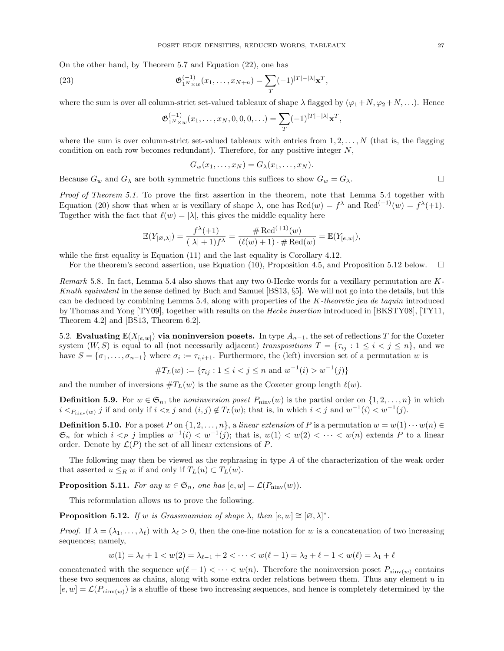On the other hand, by Theorem 5.7 and Equation (22), one has

(23) 
$$
\mathfrak{G}_{1^N \times w}^{(-1)}(x_1, \dots, x_{N+n}) = \sum_{T} (-1)^{|T| - |\lambda|} \mathbf{x}^T,
$$

where the sum is over all column-strict set-valued tableaux of shape  $\lambda$  flagged by  $(\varphi_1+N,\varphi_2+N,\ldots)$ . Hence

$$
\mathfrak{G}_{1^N \times w}^{(-1)}(x_1, \dots, x_N, 0, 0, 0, \dots) = \sum_{T} (-1)^{|T| - |\lambda|} \mathbf{x}^T
$$

,

where the sum is over column-strict set-valued tableaux with entries from  $1, 2, \ldots, N$  (that is, the flagging condition on each row becomes redundant). Therefore, for any positive integer  $N$ ,

$$
G_w(x_1,\ldots,x_N)=G_\lambda(x_1,\ldots,x_N).
$$

Because  $G_w$  and  $G_\lambda$  are both symmetric functions this suffices to show  $G_w = G_\lambda$ .

Proof of Theorem 5.1. To prove the first assertion in the theorem, note that Lemma 5.4 together with Equation (20) show that when w is vexillary of shape  $\lambda$ , one has  $\text{Red}(w) = f^{\lambda}$  and  $\text{Red}^{(+1)}(w) = f^{\lambda}(+1)$ . Together with the fact that  $\ell(w) = |\lambda|$ , this gives the middle equality here

$$
\mathbb{E}(Y_{[\varnothing,\lambda]})=\frac{f^{\lambda}(+1)}{(|\lambda|+1)f^{\lambda}}=\frac{\#\operatorname{Red}^{(+1)}(w)}{(\ell(w)+1)\cdot\#\operatorname{Red}(w)}=\mathbb{E}(Y_{[e,w]}),
$$

while the first equality is Equation (11) and the last equality is Corollary 4.12.

For the theorem's second assertion, use Equation (10), Proposition 4.5, and Proposition 5.12 below.  $\Box$ 

Remark 5.8. In fact, Lemma 5.4 also shows that any two 0-Hecke words for a vexillary permutation are K-Knuth equivalent in the sense defined by Buch and Samuel [BS13, §5]. We will not go into the details, but this can be deduced by combining Lemma 5.4, along with properties of the K-theoretic jeu de taquin introduced by Thomas and Yong [TY09], together with results on the Hecke insertion introduced in [BKSTY08], [TY11, Theorem 4.2] and [BS13, Theorem 6.2].

5.2. Evaluating  $\mathbb{E}(X_{[e,w]})$  via noninversion posets. In type  $A_{n-1}$ , the set of reflections T for the Coxeter system  $(W, S)$  is equal to all (not necessarily adjacent) transpositions  $T = \{\tau_{ij} : 1 \leq i < j \leq n\}$ , and we have  $S = \{\sigma_1, \ldots, \sigma_{n-1}\}\$  where  $\sigma_i := \tau_{i,i+1}$ . Furthermore, the (left) inversion set of a permutation w is

#TL(w) := {τij : 1 ≤ i < j ≤ n and w −1 (i) > w<sup>−</sup><sup>1</sup> (j)}

and the number of inversions  $\#T_L(w)$  is the same as the Coxeter group length  $\ell(w)$ .

**Definition 5.9.** For  $w \in \mathfrak{S}_n$ , the noninversion poset  $P_{\text{niniv}}(w)$  is the partial order on  $\{1, 2, \ldots, n\}$  in which  $i <_{P_{\text{minv}}(w)} j$  if and only if  $i <_{\mathbb{Z}} j$  and  $(i, j) \notin T_L(w)$ ; that is, in which  $i < j$  and  $w^{-1}(i) < w^{-1}(j)$ .

**Definition 5.10.** For a poset P on  $\{1, 2, ..., n\}$ , a linear extension of P is a permutation  $w = w(1) \cdots w(n) \in$  $\mathfrak{S}_n$  for which  $i < p$  j implies  $w^{-1}(i) < w^{-1}(j)$ ; that is,  $w(1) < w(2) < \cdots < w(n)$  extends P to a linear order. Denote by  $\mathcal{L}(P)$  the set of all linear extensions of P.

The following may then be viewed as the rephrasing in type A of the characterization of the weak order that asserted  $u \leq_R w$  if and only if  $T_L(u) \subset T_L(w)$ .

**Proposition 5.11.** For any  $w \in \mathfrak{S}_n$ , one has  $[e, w] = \mathcal{L}(P_{\text{ninv}}(w))$ .

This reformulation allows us to prove the following.

**Proposition 5.12.** If w is Grassmannian of shape  $\lambda$ , then  $[e, w] \cong [\emptyset, \lambda]^*$ .

*Proof.* If  $\lambda = (\lambda_1, \ldots, \lambda_\ell)$  with  $\lambda_\ell > 0$ , then the one-line notation for w is a concatenation of two increasing sequences; namely,

$$
w(1) = \lambda_{\ell} + 1 < w(2) = \lambda_{\ell-1} + 2 < \dots < w(\ell - 1) = \lambda_2 + \ell - 1 < w(\ell) = \lambda_1 + \ell
$$

concatenated with the sequence  $w(\ell + 1) < \cdots < w(n)$ . Therefore the noninversion poset  $P_{\text{ninv}(w)}$  contains these two sequences as chains, along with some extra order relations between them. Thus any element  $u$  in  $[e, w] = \mathcal{L}(P_{\text{ninv}(w)})$  is a shuffle of these two increasing sequences, and hence is completely determined by the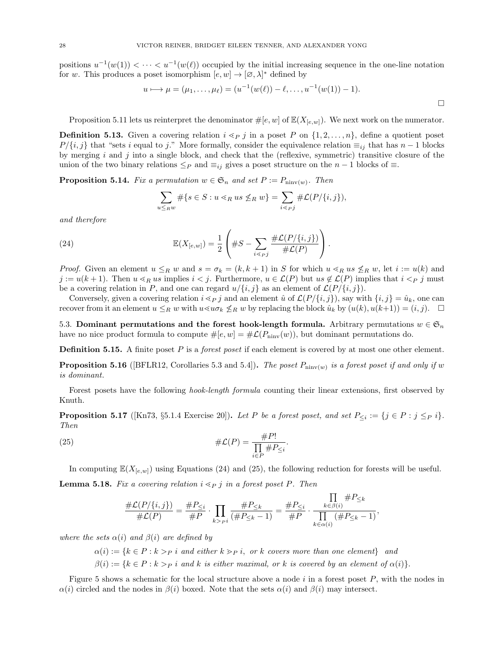positions  $u^{-1}(w(1)) < \cdots < u^{-1}(w(\ell))$  occupied by the initial increasing sequence in the one-line notation for w. This produces a poset isomorphism  $[e, w] \to [\varnothing, \lambda]^*$  defined by

$$
u \longmapsto \mu = (\mu_1, \dots, \mu_\ell) = (u^{-1}(w(\ell)) - \ell, \dots, u^{-1}(w(1)) - 1).
$$

Proposition 5.11 lets us reinterpret the denominator  $\#[e, w]$  of  $\mathbb{E}(X_{[e,w]})$ . We next work on the numerator.

**Definition 5.13.** Given a covering relation  $i \leq p j$  in a poset P on  $\{1, 2, \ldots, n\}$ , define a quotient poset  $P/\{i,j\}$  that "sets i equal to j." More formally, consider the equivalence relation  $\equiv_{ij}$  that has  $n-1$  blocks by merging  $i$  and  $j$  into a single block, and check that the (reflexive, symmetric) transitive closure of the union of the two binary relations  $\leq_P$  and  $\equiv_{ij}$  gives a poset structure on the  $n-1$  blocks of  $\equiv$ .

**Proposition 5.14.** Fix a permutation  $w \in \mathfrak{S}_n$  and set  $P := P_{\text{minv}(w)}$ . Then

$$
\sum_{u \leq_R w} \# \{ s \in S : u \lessdot_R us \not\leq_R w \} = \sum_{i \lessdot_P j} \# \mathcal{L}(P/\{i,j\}),
$$

and therefore

(24) 
$$
\mathbb{E}(X_{[e,w]}) = \frac{1}{2} \left( \#S - \sum_{i \leq p} \frac{\# \mathcal{L}(P/\{i,j\})}{\# \mathcal{L}(P)} \right).
$$

*Proof.* Given an element  $u \leq_R w$  and  $s = \sigma_k = (k, k + 1)$  in S for which  $u \leq_R u$  s  $n \nleq_R w$ , let  $i := u(k)$  and  $j := u(k+1)$ . Then  $u \leq_R u$ s implies  $i < j$ . Furthermore,  $u \in \mathcal{L}(P)$  but  $us \notin \mathcal{L}(P)$  implies that  $i < p$  j must be a covering relation in P, and one can regard  $u/\{i, j\}$  as an element of  $\mathcal{L}(P/\{i, j\})$ .

Conversely, given a covering relation  $i \leq p j$  and an element  $\hat{u}$  of  $\mathcal{L}(P/\{i, j\})$ , say with  $\{i, j\} = \hat{u}_k$ , one can recover from it an element  $u \leq_R w$  with  $u \ll u \sigma_k \nleq_R w$  by replacing the block  $\hat{u}_k$  by  $(u(k), u(k+1)) = (i, j)$ .

5.3. Dominant permutations and the forest hook-length formula. Arbitrary permutations  $w \in \mathfrak{S}_n$ have no nice product formula to compute  $\#[e, w] = \# \mathcal{L}(P_{\text{ninv}}(w))$ , but dominant permutations do.

**Definition 5.15.** A finite poset  $P$  is a *forest poset* if each element is covered by at most one other element.

**Proposition 5.16** ([BFLR12, Corollaries 5.3 and 5.4]). The poset  $P_{\text{ninv}(w)}$  is a forest poset if and only if w is dominant.

Forest posets have the following hook-length formula counting their linear extensions, first observed by Knuth.

**Proposition 5.17** ([Kn73, §5.1.4 Exercise 20]). Let P be a forest poset, and set  $P_{\leq i} := \{j \in P : j \leq_P i\}.$ Then

(25) 
$$
\#\mathcal{L}(P) = \frac{\#P!}{\prod_{i \in P} \#P_{\leq i}}
$$

In computing  $\mathbb{E}(X_{[e,w]})$  using Equations (24) and (25), the following reduction for forests will be useful.

.

**Lemma 5.18.** Fix a covering relation  $i \leq p$  j in a forest poset P. Then

$$
\frac{\# \mathcal{L}(P/\{i,j\})}{\# \mathcal{L}(P)} = \frac{\# P_{\leq i}}{\# P} \cdot \prod_{k >_{P} i} \frac{\# P_{\leq k}}{(\# P_{\leq k} - 1)} = \frac{\# P_{\leq i}}{\# P} \cdot \frac{\prod_{k \in \beta(i)} \# P_{\leq k}}{\prod_{k \in \alpha(i)} (\# P_{\leq k} - 1)},
$$

where the sets  $\alpha(i)$  and  $\beta(i)$  are defined by

$$
\alpha(i) := \{k \in P : k >_P i \text{ and either } k >_P i, \text{ or } k \text{ covers more than one element} \} \text{ and}
$$

$$
\beta(i) := \{k \in P : k >_P i \text{ and } k \text{ is either maximal, or } k \text{ is covered by an element of } \alpha(i)\}.
$$

Figure 5 shows a schematic for the local structure above a node  $i$  in a forest poset  $P$ , with the nodes in  $\alpha(i)$  circled and the nodes in  $\beta(i)$  boxed. Note that the sets  $\alpha(i)$  and  $\beta(i)$  may intersect.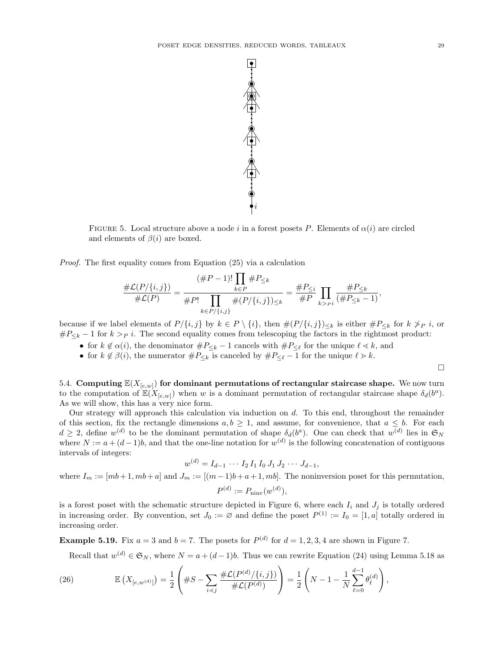

FIGURE 5. Local structure above a node i in a forest posets P. Elements of  $\alpha(i)$  are circled and elements of  $\beta(i)$  are boxed.

Proof. The first equality comes from Equation (25) via a calculation

$$
\frac{\#\mathcal{L}(P/\{i,j\})}{\#\mathcal{L}(P)} = \frac{(\#P - 1)! \prod_{k \in P} \#P_{\leq k}}{\prod_{k \in P/\{i,j\}} \#(P/\{i,j\})_{\leq k}} = \frac{\#P_{\leq i}}{\#P} \prod_{k > P} \frac{\#P_{\leq k}}{(\#P_{\leq k} - 1)},
$$

because if we label elements of  $P/\{i,j\}$  by  $k \in P \setminus \{i\}$ , then  $\#(P/\{i,j\})_{\leq k}$  is either  $\#P_{\leq k}$  for  $k \ngeq_P i$ , or  $\#P_{\leq k} - 1$  for  $k > p$  i. The second equality comes from telescoping the factors in the rightmost product:

- for  $k \notin \alpha(i)$ , the denominator  $\#P_{\leq k} 1$  cancels with  $\#P_{\leq \ell}$  for the unique  $\ell \leq k$ , and
- for  $k \notin \beta(i)$ , the numerator  $\#P_{\leq k}$  is canceled by  $\#P_{\leq \ell} 1$  for the unique  $\ell \geq k$ .

 $\Box$ 

5.4. Computing  $\mathbb{E}(X_{[e,w]})$  for dominant permutations of rectangular staircase shape. We now turn to the computation of  $\mathbb{E}(X_{[e,w]})$  when w is a dominant permutation of rectangular staircase shape  $\delta_d(b^a)$ . As we will show, this has a very nice form.

Our strategy will approach this calculation via induction on  $d$ . To this end, throughout the remainder of this section, fix the rectangle dimensions  $a, b \ge 1$ , and assume, for convenience, that  $a \le b$ . For each  $d \geq 2$ , define  $w^{(d)}$  to be the dominant permutation of shape  $\delta_d(b^a)$ . One can check that  $w^{(d)}$  lies in  $\mathfrak{S}_N$ where  $N := a + (d-1)b$ , and that the one-line notation for  $w^{(d)}$  is the following concatenation of contiguous intervals of integers:

$$
w^{(d)} = I_{d-1} \cdots I_2 I_1 I_0 J_1 J_2 \cdots J_{d-1},
$$

where  $I_m := [mb + 1, mb + a]$  and  $J_m := [(m - 1)b + a + 1, mb]$ . The noninversion poset for this permutation,  $P^{(d)} := P_{\text{niniv}}(w^{(d)}),$ 

is a forest poset with the schematic structure depicted in Figure 6, where each  $I_i$  and  $J_j$  is totally ordered in increasing order. By convention, set  $J_0 := \emptyset$  and define the poset  $P^{(1)} := I_0 = [1, a]$  totally ordered in increasing order.

**Example 5.19.** Fix  $a = 3$  and  $b = 7$ . The posets for  $P^{(d)}$  for  $d = 1, 2, 3, 4$  are shown in Figure 7.

Recall that  $w^{(d)} \in \mathfrak{S}_N$ , where  $N = a + (d-1)b$ . Thus we can rewrite Equation (24) using Lemma 5.18 as

(26) 
$$
\mathbb{E}\left(X_{[e,w^{(d)}]}\right) = \frac{1}{2}\left(\#S - \sum_{i < j} \frac{\#\mathcal{L}(P^{(d)}/\{i,j\})}{\#\mathcal{L}(P^{(d)})}\right) = \frac{1}{2}\left(N - 1 - \frac{1}{N}\sum_{\ell=0}^{d-1}\theta_{\ell}^{(d)}\right),
$$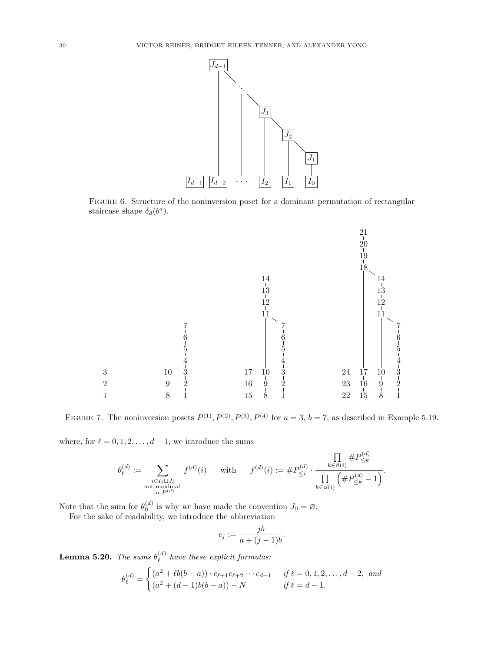

FIGURE 6. Structure of the noninversion poset for a dominant permutation of rectangular staircase shape  $\delta_d(b^a)$ .



FIGURE 7. The noninversion posets  $P^{(1)}, P^{(2)}, P^{(3)}, P^{(4)}$  for  $a = 3, b = 7$ , as described in Example 5.19.

where, for  $\ell = 0, 1, 2, \ldots, d - 1$ , we introduce the sums

$$
\theta^{(d)}_\ell := \sum_{\substack{i \in I_\ell \sqcup J_\ell \\ \text{not maximal} \\ \text{in } P^{(d)}}} f^{(d)}(i) \quad \text{ with } \quad f^{(d)}(i) := \#P^{(d)}_{\leq i} \cdot \frac{\prod\limits_{k \in \beta(i)} \#P^{(d)}_{\leq k}}{\prod\limits_{k \in \alpha(i)} \left(\#P^{(d)}_{\leq k} - 1\right)}.
$$

Note that the sum for  $\theta_0^{(d)}$  is why we have made the convention  $J_0 = \emptyset$ .

For the sake of readability, we introduce the abbreviation

$$
c_j := \frac{jb}{a + (j-1)b}.
$$

Lemma 5.20. The sums  $\theta_{\ell}^{(d)}$  $\int_{\ell}^{(a)}$  have these explicit formulas:

$$
\theta_{\ell}^{(d)} = \begin{cases}\n(a^2 + \ell b(b - a)) \cdot c_{\ell+1} c_{\ell+2} \cdots c_{d-1} & \text{if } \ell = 0, 1, 2, \ldots, d-2, \text{ and} \\
(a^2 + (d - 1)b(b - a)) - N & \text{if } \ell = d - 1.\n\end{cases}
$$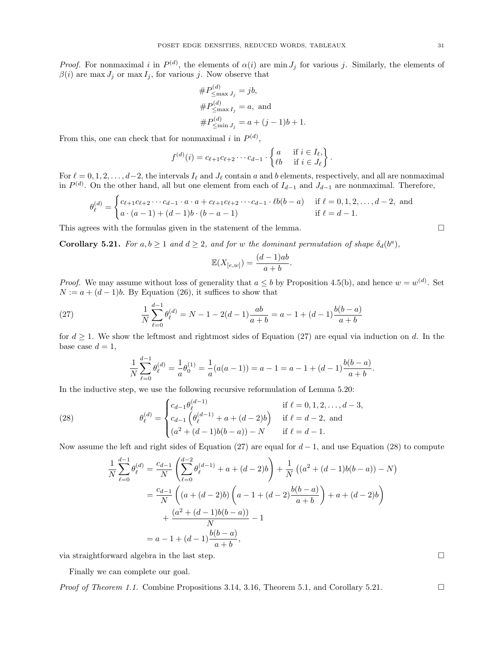*Proof.* For nonmaximal i in  $P^{(d)}$ , the elements of  $\alpha(i)$  are min  $J_j$  for various j. Similarly, the elements of  $\beta(i)$  are max  $J_j$  or max  $I_j$ , for various j. Now observe that

$$
#P_{\leq \max J_j}^{(d)} = jb,
$$
  
\n
$$
#P_{\leq \max I_j}^{(d)} = a, \text{ and}
$$
  
\n
$$
#P_{\leq \min J_j}^{(d)} = a + (j - 1)b + 1.
$$

From this, one can check that for nonmaximal i in  $P^{(d)}$ ,

$$
f^{(d)}(i) = c_{\ell+1}c_{\ell+2}\cdots c_{d-1} \cdot \begin{Bmatrix} a & \text{if } i \in I_{\ell}, \\ \ell b & \text{if } i \in J_{\ell} \end{Bmatrix}.
$$

For  $\ell = 0, 1, 2, \ldots, d-2$ , the intervals  $I_\ell$  and  $J_\ell$  contain a and b elements, respectively, and all are nonmaximal in  $P^{(d)}$ . On the other hand, all but one element from each of  $I_{d-1}$  and  $J_{d-1}$  are nonmaximal. Therefore,

$$
\theta_{\ell}^{(d)} = \begin{cases} c_{\ell+1}c_{\ell+2}\cdots c_{d-1}\cdot a\cdot a + c_{\ell+1}c_{\ell+2}\cdots c_{d-1}\cdot \ell b(b-a) & \text{if } \ell = 0, 1, 2, \ldots, d-2, \text{ and } \\ a\cdot (a-1) + (d-1)b\cdot (b-a-1) & \text{if } \ell = d-1. \end{cases}
$$

This agrees with the formulas given in the statement of the lemma.  $\Box$ 

**Corollary 5.21.** For  $a, b \ge 1$  and  $d \ge 2$ , and for w the dominant permutation of shape  $\delta_d(b^a)$ ,

$$
\mathbb{E}(X_{[e,w]}) = \frac{(d-1)ab}{a+b}.
$$

*Proof.* We may assume without loss of generality that  $a \leq b$  by Proposition 4.5(b), and hence  $w = w^{(d)}$ . Set  $N := a + (d - 1)b$ . By Equation (26), it suffices to show that

(27) 
$$
\frac{1}{N} \sum_{\ell=0}^{d-1} \theta_{\ell}^{(d)} = N - 1 - 2(d-1) \frac{ab}{a+b} = a - 1 + (d-1) \frac{b(b-a)}{a+b}
$$

for  $d \geq 1$ . We show the leftmost and rightmost sides of Equation (27) are equal via induction on d. In the base case  $d = 1$ ,

$$
\frac{1}{N}\sum_{\ell=0}^{d-1}\theta_{\ell}^{(d)} = \frac{1}{a}\theta_0^{(1)} = \frac{1}{a}(a(a-1)) = a-1 = a-1 + (d-1)\frac{b(b-a)}{a+b}.
$$

In the inductive step, we use the following recursive reformulation of Lemma 5.20:

(28) 
$$
\theta_{\ell}^{(d)} = \begin{cases} c_{d-1}\theta_{\ell}^{(d-1)} & \text{if } \ell = 0, 1, 2, ..., d-3, \\ c_{d-1}\left(\theta_{\ell}^{(d-1)} + a + (d-2)b\right) & \text{if } \ell = d-2, \text{ and} \\ (a^2 + (d-1)b(b-a)) - N & \text{if } \ell = d-1. \end{cases}
$$

Now assume the left and right sides of Equation (27) are equal for  $d-1$ , and use Equation (28) to compute

$$
\frac{1}{N} \sum_{\ell=0}^{d-1} \theta_{\ell}^{(d)} = \frac{c_{d-1}}{N} \left( \sum_{\ell=0}^{d-2} \theta_{\ell}^{(d-1)} + a + (d-2)b \right) + \frac{1}{N} \left( (a^2 + (d-1)b(b-a)) - N \right)
$$

$$
= \frac{c_{d-1}}{N} \left( (a + (d-2)b) \left( a - 1 + (d-2)\frac{b(b-a)}{a+b} \right) + a + (d-2)b \right)
$$

$$
+ \frac{(a^2 + (d-1)b(b-a))}{N} - 1
$$

$$
= a - 1 + (d-1)\frac{b(b-a)}{a+b},
$$

via straightforward algebra in the last step.  $\Box$ 

Finally we can complete our goal.

*Proof of Theorem 1.1.* Combine Propositions 3.14, 3.16, Theorem 5.1, and Corollary 5.21.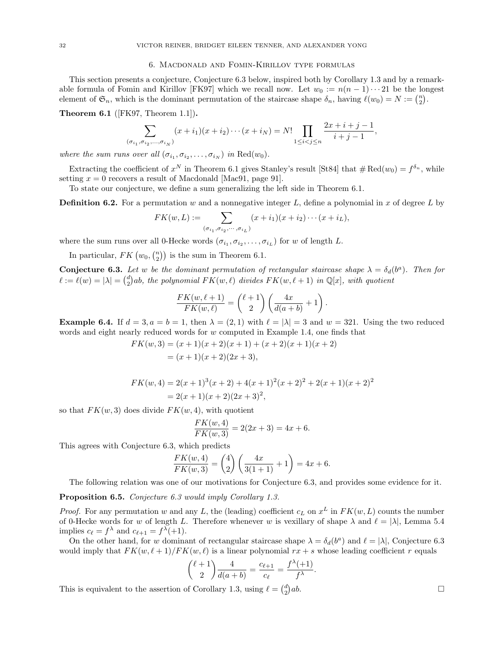#### 6. Macdonald and Fomin-Kirillov type formulas

This section presents a conjecture, Conjecture 6.3 below, inspired both by Corollary 1.3 and by a remarkable formula of Fomin and Kirillov [FK97] which we recall now. Let  $w_0 := n(n-1)\cdots 21$  be the longest element of  $\mathfrak{S}_n$ , which is the dominant permutation of the staircase shape  $\delta_n$ , having  $\ell(w_0) = N := \binom{n}{2}$ .

Theorem 6.1 ([FK97, Theorem 1.1]).

$$
\sum_{(\sigma_{i_1}, \sigma_{i_2}, \dots, \sigma_{i_N})} (x + i_1)(x + i_2) \cdots (x + i_N) = N! \prod_{1 \le i < j \le n} \frac{2x + i + j - 1}{i + j - 1},
$$

where the sum runs over all  $(\sigma_{i_1}, \sigma_{i_2}, \ldots, \sigma_{i_N})$  in  $\text{Red}(w_0)$ .

Extracting the coefficient of  $x^N$  in Theorem 6.1 gives Stanley's result [St84] that  $\#\text{Red}(w_0) = f^{\delta_n}$ , while setting  $x = 0$  recovers a result of Macdonald [Mac91, page 91].

To state our conjecture, we define a sum generalizing the left side in Theorem 6.1.

**Definition 6.2.** For a permutation w and a nonnegative integer L, define a polynomial in x of degree L by

$$
FK(w, L) := \sum_{(\sigma_{i_1}, \sigma_{i_2}, \cdots, \sigma_{i_L})} (x + i_1)(x + i_2) \cdots (x + i_L),
$$

where the sum runs over all 0-Hecke words  $(\sigma_{i_1}, \sigma_{i_2}, \ldots, \sigma_{i_L})$  for w of length L.

In particular,  $FK(w_0, \binom{n}{2})$  is the sum in Theorem 6.1.

**Conjecture 6.3.** Let w be the dominant permutation of rectangular staircase shape  $\lambda = \delta_d(b^a)$ . Then for  $\ell := \ell(w) = |\lambda| = {d \choose 2}ab$ , the polynomial  $FK(w, \ell)$  divides  $FK(w, \ell + 1)$  in Q[x], with quotient

$$
\frac{FK(w, \ell+1)}{FK(w, \ell)} = {\ell+1 \choose 2} \left( \frac{4x}{d(a+b)} + 1 \right).
$$

**Example 6.4.** If  $d = 3, a = b = 1$ , then  $\lambda = (2, 1)$  with  $\ell = |\lambda| = 3$  and  $w = 321$ . Using the two reduced words and eight nearly reduced words for w computed in Example 1.4, one finds that

$$
FK(w, 3) = (x + 1)(x + 2)(x + 1) + (x + 2)(x + 1)(x + 2)
$$
  
= (x + 1)(x + 2)(2x + 3),

$$
FK(w, 4) = 2(x + 1)^3(x + 2) + 4(x + 1)^2(x + 2)^2 + 2(x + 1)(x + 2)^2
$$
  
= 2(x + 1)(x + 2)(2x + 3)<sup>2</sup>,

so that  $FK(w, 3)$  does divide  $FK(w, 4)$ , with quotient

$$
\frac{FK(w, 4)}{FK(w, 3)} = 2(2x + 3) = 4x + 6.
$$

This agrees with Conjecture 6.3, which predicts

$$
\frac{FK(w, 4)}{FK(w, 3)} = {4 \choose 2} \left( \frac{4x}{3(1+1)} + 1 \right) = 4x + 6.
$$

The following relation was one of our motivations for Conjecture 6.3, and provides some evidence for it.

Proposition 6.5. Conjecture 6.3 would imply Corollary 1.3.

*Proof.* For any permutation w and any L, the (leading) coefficient  $c_L$  on  $x^L$  in  $FK(w, L)$  counts the number of 0-Hecke words for w of length L. Therefore whenever w is vexillary of shape  $\lambda$  and  $\ell = |\lambda|$ , Lemma 5.4 implies  $c_{\ell} = f^{\lambda}$  and  $c_{\ell+1} = f^{\lambda}(+1)$ .

On the other hand, for w dominant of rectangular staircase shape  $\lambda = \delta_d(b^a)$  and  $\ell = |\lambda|$ , Conjecture 6.3 would imply that  $FK(w, \ell + 1)/FK(w, \ell)$  is a linear polynomial  $rx + s$  whose leading coefficient r equals

$$
\binom{\ell+1}{2}\frac{4}{d(a+b)}=\frac{c_{\ell+1}}{c_{\ell}}=\frac{f^{\lambda}(+1)}{f^{\lambda}}.
$$

This is equivalent to the assertion of Corollary 1.3, using  $\ell = \binom{d}{2}$  $ab.$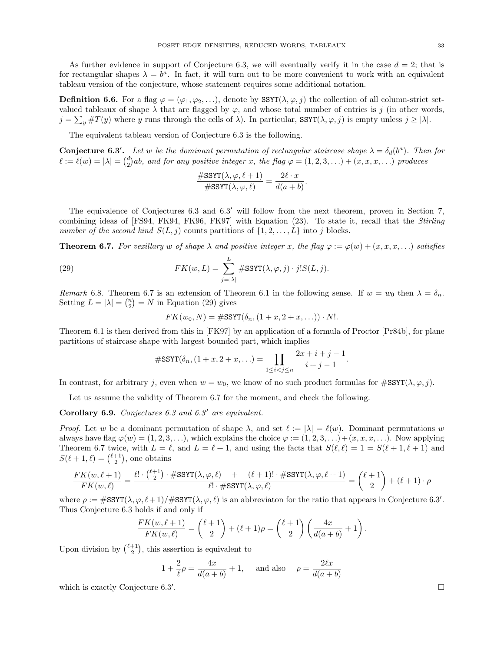As further evidence in support of Conjecture 6.3, we will eventually verify it in the case  $d = 2$ ; that is for rectangular shapes  $\lambda = b^a$ . In fact, it will turn out to be more convenient to work with an equivalent tableau version of the conjecture, whose statement requires some additional notation.

**Definition 6.6.** For a flag  $\varphi = (\varphi_1, \varphi_2, \ldots)$ , denote by SSYT( $\lambda, \varphi, j$ ) the collection of all column-strict setvalued tableaux of shape  $\lambda$  that are flagged by  $\varphi$ , and whose total number of entries is j (in other words,  $j = \sum_{y} \#T(y)$  where y runs through the cells of  $\lambda$ ). In particular, SSYT $(\lambda, \varphi, j)$  is empty unless  $j \geq |\lambda|$ .

The equivalent tableau version of Conjecture 6.3 is the following.

**Conjecture 6.3'.** Let w be the dominant permutation of rectangular staircase shape  $\lambda = \delta_d(b^a)$ . Then for  $\ell := \ell(w) = |\lambda| = {d \choose 2}ab$ , and for any positive integer x, the flag  $\varphi = (1, 2, 3, \ldots) + (x, x, x, \ldots)$  produces

$$
\frac{\#\text{SSYT}(\lambda, \varphi, \ell+1)}{\#\text{SSYT}(\lambda, \varphi, \ell)} = \frac{2\ell \cdot x}{d(a+b)}.
$$

The equivalence of Conjectures 6.3 and 6.3' will follow from the next theorem, proven in Section 7, combining ideas of [FS94, FK94, FK96, FK97] with Equation (23). To state it, recall that the Stirling number of the second kind  $S(L, j)$  counts partitions of  $\{1, 2, \ldots, L\}$  into j blocks.

**Theorem 6.7.** For vexillary w of shape  $\lambda$  and positive integer x, the flag  $\varphi := \varphi(w) + (x, x, x, \dots)$  satisfies

(29) 
$$
FK(w, L) = \sum_{j=|\lambda|}^{L} \#SSYT(\lambda, \varphi, j) \cdot j! S(L, j).
$$

Remark 6.8. Theorem 6.7 is an extension of Theorem 6.1 in the following sense. If  $w = w_0$  then  $\lambda = \delta_n$ . Setting  $L = |\lambda| = \binom{n}{2} = N$  in Equation (29) gives

$$
FK(w_0, N) = \#SST(\delta_n, (1 + x, 2 + x, \ldots)) \cdot N!.
$$

Theorem 6.1 is then derived from this in [FK97] by an application of a formula of Proctor [Pr84b], for plane partitions of staircase shape with largest bounded part, which implies

$$
\#SSYT(\delta_n, (1+x, 2+x, \ldots)) = \prod_{1 \le i < j \le n} \frac{2x + i + j - 1}{i + j - 1}.
$$

In contrast, for arbitrary j, even when  $w = w_0$ , we know of no such product formulas for  $\#\text{SSYT}(\lambda, \varphi, j)$ .

Let us assume the validity of Theorem 6.7 for the moment, and check the following.

Corollary 6.9. Conjectures 6.3 and 6.3' are equivalent.

*Proof.* Let w be a dominant permutation of shape  $\lambda$ , and set  $\ell := |\lambda| = \ell(w)$ . Dominant permutations w always have flag  $\varphi(w) = (1, 2, 3, \ldots)$ , which explains the choice  $\varphi := (1, 2, 3, \ldots) + (x, x, x, \ldots)$ . Now applying Theorem 6.7 twice, with  $L = \ell$ , and  $L = \ell + 1$ , and using the facts that  $S(\ell, \ell) = 1 = S(\ell + 1, \ell + 1)$  and  $S(\ell + 1, \ell) = {\ell + 1 \choose 2}$ , one obtains

$$
\frac{FK(w,\ell+1)}{FK(w,\ell)} = \frac{\ell!\cdot {\ell+1\choose 2}\cdot \#SSYT(\lambda, \varphi, \ell)\quad +\quad (\ell+1)!\cdot \#SSYT(\lambda, \varphi, \ell+1)}{\ell!\cdot \#SSYT(\lambda, \varphi, \ell)} = {\ell+1\choose 2} + (\ell+1)\cdot \rho
$$

where  $\rho := \text{\#SSYT}(\lambda, \varphi, \ell+1)/\text{\#SSYT}(\lambda, \varphi, \ell)$  is an abbreviaton for the ratio that appears in Conjecture 6.3'. Thus Conjecture 6.3 holds if and only if

$$
\frac{FK(w,\ell+1)}{FK(w,\ell)} = {\ell+1 \choose 2} + (\ell+1)\rho = {\ell+1 \choose 2} \left(\frac{4x}{d(a+b)} + 1\right).
$$

Upon division by  $\binom{\ell+1}{2}$ , this assertion is equivalent to

$$
1 + \frac{2}{\ell}\rho = \frac{4x}{d(a+b)} + 1
$$
, and also  $\rho = \frac{2\ell x}{d(a+b)}$ 

which is exactly Conjecture  $6.3'$ .

. The contract of the contract of the contract of the contract of the contract of the contract of the contract<br>The contract of the contract of the contract of the contract of the contract of the contract of the contract o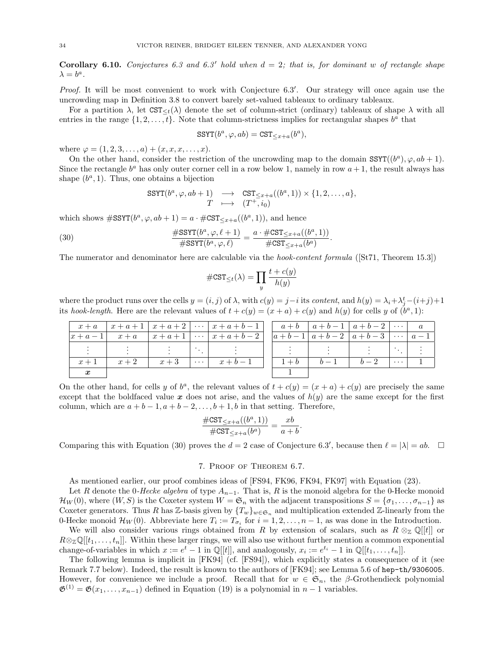**Corollary 6.10.** Conjectures 6.3 and 6.3' hold when  $d = 2$ ; that is, for dominant w of rectangle shape  $\lambda = b^a$ .

Proof. It will be most convenient to work with Conjecture 6.3'. Our strategy will once again use the uncrowding map in Definition 3.8 to convert barely set-valued tableaux to ordinary tableaux.

For a partition  $\lambda$ , let  $\text{CST}_{\leq t}(\lambda)$  denote the set of column-strict (ordinary) tableaux of shape  $\lambda$  with all entries in the range  $\{1, 2, \ldots, t\}$ . Note that column-strictness implies for rectangular shapes  $b^a$  that

$$
SSYT(b^a, \varphi, ab) = SST_{\leq x+a}(b^a),
$$

where  $\varphi = (1, 2, 3, \ldots, a) + (x, x, x, \ldots, x).$ 

On the other hand, consider the restriction of the uncrowding map to the domain  $SSTT((b^a), \varphi, ab + 1)$ . Since the rectangle  $b^a$  has only outer corner cell in a row below 1, namely in row  $a + 1$ , the result always has shape  $(b^a, 1)$ . Thus, one obtains a bijection

$$
SSYT(b^a, \varphi, ab + 1) \longrightarrow \operatorname{CST}_{\leq x+a}((b^a, 1)) \times \{1, 2, ..., a\},
$$
  

$$
T \longmapsto (T^+, i_0)
$$

which shows  $\#\text{SSYT}(b^a, \varphi, ab + 1) = a \cdot \#\text{CST}_{\leq x+a}((b^a, 1)),$  and hence

(30) 
$$
\frac{\#\mathrm{SSYT}(b^a, \varphi, \ell+1)}{\#\mathrm{SSYT}(b^a, \varphi, \ell)} = \frac{a \cdot \#\mathrm{CST}_{\leq x+a}((b^a, 1))}{\#\mathrm{CST}_{\leq x+a}(b^a)}.
$$

The numerator and denominator here are calculable via the *hook-content formula* ([St71, Theorem 15.3])

$$
\#\texttt{CST}_{\leq t}(\lambda) = \prod_{y} \frac{t+c(y)}{h(y)}
$$

where the product runs over the cells  $y = (i, j)$  of  $\lambda$ , with  $c(y) = j-i$  its *content*, and  $h(y) = \lambda_i + \lambda_j^t - (i+j) + 1$ its hook-length. Here are the relevant values of  $t + c(y) = (x + a) + c(y)$  and  $h(y)$  for cells y of  $(b^a, 1)$ :

|         |       |       | $x + a$ $x + a + 1$ $x + a + 2$ $\cdots$ $x + a + b - 1$ $a + b$ $a + b - 1$ $a + b - 2$ $\cdots$ |  |  |          |  |
|---------|-------|-------|---------------------------------------------------------------------------------------------------|--|--|----------|--|
|         |       |       | $ x+a-1 $ $x+a$ $ x+a+1 $ $\cdots$ $ x+a+b-2 $ $ a+b-1 $ $a+b-2$ $ a+b-3 $ $\cdots$ $ a-1 $       |  |  |          |  |
|         |       |       |                                                                                                   |  |  |          |  |
| $x + 1$ | $x+2$ | $x+3$ | $ \cdots $ $x+b-1$   $1+b$   $b-1$   $b-2$                                                        |  |  | $\cdots$ |  |
|         |       |       |                                                                                                   |  |  |          |  |

On the other hand, for cells y of  $b^a$ , the relevant values of  $t + c(y) = (x + a) + c(y)$  are precisely the same except that the boldfaced value x does not arise, and the values of  $h(y)$  are the same except for the first column, which are  $a + b - 1$ ,  $a + b - 2$ , ...,  $b + 1$ , b in that setting. Therefore,

$$
\frac{\#\text{CST}_{\leq x+a}((b^a, 1))}{\#\text{CST}_{\leq x+a}(b^a)} = \frac{xb}{a+b}
$$

.

Comparing this with Equation (30) proves the  $d = 2$  case of Conjecture 6.3', because then  $\ell = |\lambda| = ab$ .  $\Box$ 

### 7. Proof of Theorem 6.7.

As mentioned earlier, our proof combines ideas of [FS94, FK96, FK94, FK97] with Equation (23).

Let R denote the 0-Hecke algebra of type  $A_{n-1}$ . That is, R is the monoid algebra for the 0-Hecke monoid  $\mathcal{H}_W(0)$ , where  $(W, S)$  is the Coxeter system  $W = \mathfrak{S}_n$  with the adjacent transpositions  $S = {\sigma_1, \ldots, \sigma_{n-1}}$  as Coxeter generators. Thus R has Z-basis given by  $\{T_w\}_{w \in \mathfrak{S}_n}$  and multiplication extended Z-linearly from the 0-Hecke monoid  $\mathcal{H}_W(0)$ . Abbreviate here  $T_i := T_{\sigma_i}$  for  $i = 1, 2, ..., n-1$ , as was done in the Introduction.

We will also consider various rings obtained from R by extension of scalars, such as  $R \otimes_{\mathbb{Z}} \mathbb{Q}[[t]]$  or  $R \otimes_{\mathbb{Z}} \mathbb{Q}[[t_1, \ldots, t_n]]$ . Within these larger rings, we will also use without further mention a common exponential change-of-variables in which  $x := e^t - 1$  in  $\mathbb{Q}[[t]]$ , and analogously,  $x_i := e^{t_i} - 1$  in  $\mathbb{Q}[[t_1, \ldots, t_n]]$ .

The following lemma is implicit in [FK94] (cf. [FS94]), which explicitly states a consequence of it (see Remark 7.7 below). Indeed, the result is known to the authors of [FK94]; see Lemma 5.6 of hep-th/9306005. However, for convenience we include a proof. Recall that for  $w \in \mathfrak{S}_n$ , the  $\beta$ -Grothendieck polynomial  $\mathfrak{G}^{(1)} = \mathfrak{G}(x_1, \ldots, x_{n-1})$  defined in Equation (19) is a polynomial in  $n-1$  variables.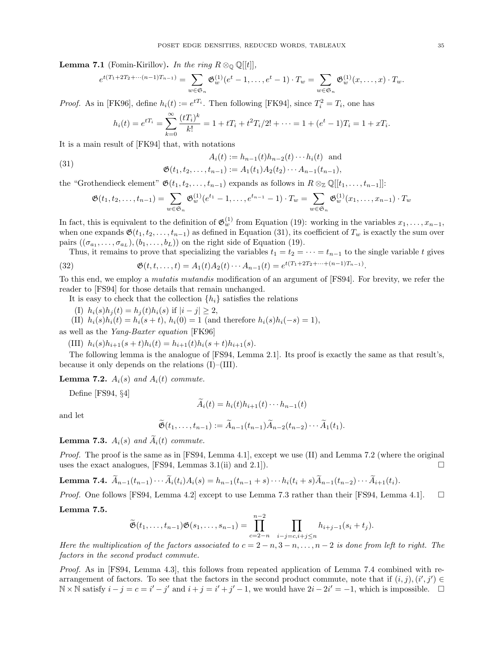**Lemma 7.1** (Fomin-Kirillov). In the ring  $R \otimes_{\mathbb{Q}} \mathbb{Q}[[t]]$ ,

$$
e^{t(T_1+2T_2+\cdots(n-1)T_{n-1})} = \sum_{w\in\mathfrak{S}_n} \mathfrak{G}_w^{(1)}(e^t-1,\ldots,e^t-1)\cdot T_w = \sum_{w\in\mathfrak{S}_n} \mathfrak{G}_w^{(1)}(x,\ldots,x)\cdot T_w.
$$

*Proof.* As in [FK96], define  $h_i(t) := e^{tT_i}$ . Then following [FK94], since  $T_i^2 = T_i$ , one has

$$
h_i(t) = e^{tT_i} = \sum_{k=0}^{\infty} \frac{(tT_i)^k}{k!} = 1 + tT_i + t^2T_i/2! + \dots = 1 + (e^t - 1)T_i = 1 + xT_i.
$$

It is a main result of [FK94] that, with notations

(31) 
$$
A_i(t) := h_{n-1}(t)h_{n-2}(t)\cdots h_i(t) \text{ and}
$$

$$
\mathfrak{G}(t_1, t_2, \dots, t_{n-1}) := A_1(t_1)A_2(t_2)\cdots A_{n-1}(t_{n-1}),
$$

the "Grothendieck element"  $\mathfrak{G}(t_1, t_2, \ldots, t_{n-1})$  expands as follows in  $R \otimes_{\mathbb{Z}} \mathbb{Q}[[t_1, \ldots, t_{n-1}]]$ :

$$
\mathfrak{G}(t_1, t_2, \dots, t_{n-1}) = \sum_{w \in \mathfrak{S}_n} \mathfrak{G}_w^{(1)}(e^{t_1} - 1, \dots, e^{t_{n-1}} - 1) \cdot T_w = \sum_{w \in \mathfrak{S}_n} \mathfrak{G}_w^{(1)}(x_1, \dots, x_{n-1}) \cdot T_w
$$

In fact, this is equivalent to the definition of  $\mathfrak{G}_w^{(1)}$  from Equation (19): working in the variables  $x_1, \ldots, x_{n-1}$ , when one expands  $\mathfrak{G}(t_1, t_2, \ldots, t_{n-1})$  as defined in Equation (31), its coefficient of  $T_w$  is exactly the sum over pairs  $((\sigma_{a_1}, \ldots, \sigma_{a_L}), (b_1, \ldots, b_L))$  on the right side of Equation (19).

Thus, it remains to prove that specializing the variables  $t_1 = t_2 = \cdots = t_{n-1}$  to the single variable t gives

(32) 
$$
\mathfrak{G}(t, t, ..., t) = A_1(t) A_2(t) \cdots A_{n-1}(t) = e^{t(T_1 + 2T_2 + \cdots + (n-1)T_{n-1})}.
$$

To this end, we employ a *mutatis mutandis* modification of an argument of [FS94]. For brevity, we refer the reader to [FS94] for those details that remain unchanged.

It is easy to check that the collection  $\{h_i\}$  satisfies the relations

(I) 
$$
h_i(s)h_j(t) = h_j(t)h_i(s)
$$
 if  $|i - j| \ge 2$ ,

(II)  $h_i(s)h_i(t) = h_i(s+t), h_i(0) = 1$  (and therefore  $h_i(s)h_i(-s) = 1$ ),

as well as the Yang-Baxter equation [FK96]

(III)  $h_i(s)h_{i+1}(s+t)h_i(t) = h_{i+1}(t)h_i(s+t)h_{i+1}(s)$ .

The following lemma is the analogue of [FS94, Lemma 2.1]. Its proof is exactly the same as that result's, because it only depends on the relations (I)–(III).

**Lemma 7.2.**  $A_i(s)$  and  $A_i(t)$  commute.

Define [FS94, §4]

$$
A_i(t) = h_i(t)h_{i+1}(t)\cdots h_{n-1}(t)
$$

and let

$$
\widetilde{\mathfrak{G}}(t_1,\ldots,t_{n-1}):=\widetilde{A}_{n-1}(t_{n-1})\widetilde{A}_{n-2}(t_{n-2})\cdots\widetilde{A}_1(t_1).
$$

**Lemma 7.3.**  $A_i(s)$  and  $\widetilde{A}_i(t)$  commute.

*Proof.* The proof is the same as in [FS94, Lemma 4.1], except we use  $(II)$  and Lemma 7.2 (where the original uses the exact analogues, [FS94, Lemmas 3.1(ii) and 2.1]).  $\Box$ 

**Lemma 7.4.** 
$$
\widetilde{A}_{n-1}(t_{n-1}) \cdots \widetilde{A}_i(t_i) A_i(s) = h_{n-1}(t_{n-1} + s) \cdots h_i(t_i + s) \widetilde{A}_{n-1}(t_{n-2}) \cdots \widetilde{A}_{i+1}(t_i).
$$

*Proof.* One follows [FS94, Lemma 4.2] except to use Lemma 7.3 rather than their [FS94, Lemma 4.1].  $\square$ 

Lemma 7.5.

$$
\widetilde{\mathfrak{G}}(t_1,\ldots,t_{n-1})\mathfrak{G}(s_1,\ldots,s_{n-1})=\prod_{c=2-n}^{n-2}\prod_{i-j=c,i+j\leq n}h_{i+j-1}(s_i+t_j).
$$

Here the multiplication of the factors associated to  $c = 2 - n, 3 - n, \ldots, n - 2$  is done from left to right. The factors in the second product commute.

Proof. As in [FS94, Lemma 4.3], this follows from repeated application of Lemma 7.4 combined with rearrangement of factors. To see that the factors in the second product commute, note that if  $(i, j), (i', j') \in$  $\mathbb{N} \times \mathbb{N}$  satisfy  $i - j = c = i' - j'$  and  $i + j = i' + j' - 1$ , we would have  $2i - 2i' = -1$ , which is impossible. □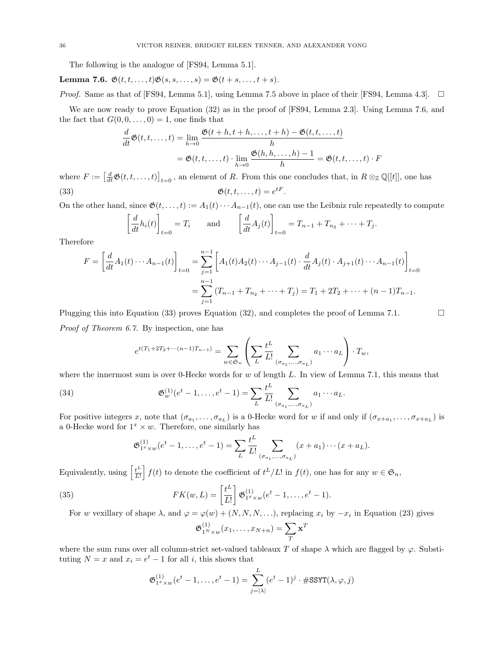The following is the analogue of [FS94, Lemma 5.1].

Lemma 7.6.  $\mathfrak{G}(t, t, \ldots, t)\mathfrak{G}(s, s, \ldots, s) = \mathfrak{G}(t + s, \ldots, t + s).$ 

*Proof.* Same as that of [FS94, Lemma 5.1], using Lemma 7.5 above in place of their [FS94, Lemma 4.3].  $\Box$ 

We are now ready to prove Equation (32) as in the proof of [FS94, Lemma 2.3]. Using Lemma 7.6, and the fact that  $G(0, 0, \ldots, 0) = 1$ , one finds that

$$
\frac{d}{dt}\mathfrak{G}(t,t,\ldots,t) = \lim_{h \to 0} \frac{\mathfrak{G}(t+h,t+h,\ldots,t+h) - \mathfrak{G}(t,t,\ldots,t)}{h}
$$

$$
= \mathfrak{G}(t,t,\ldots,t) \cdot \lim_{h \to 0} \frac{\mathfrak{G}(h,h,\ldots,h)-1}{h} = \mathfrak{G}(t,t,\ldots,t) \cdot F
$$

where  $F := \left[\frac{d}{dt}\mathfrak{G}(t,t,\ldots,t)\right]_{t=0}$ , an element of R. From this one concludes that, in  $R \otimes_{\mathbb{Z}} \mathbb{Q}[[t]]$ , one has (33)  $\mathfrak{G}(t, t, ..., t) = e^{tF}$ .

On the other hand, since  $\mathfrak{G}(t, \ldots, t) := A_1(t) \cdots A_{n-1}(t)$ , one can use the Leibniz rule repeatedly to compute

$$
\left[\frac{d}{dt}h_i(t)\right]_{t=0} = T_i \quad \text{and} \quad \left[\frac{d}{dt}A_j(t)\right]_{t=0} = T_{n-1} + T_{n_2} + \dots + T_j.
$$

Therefore

$$
F = \left[\frac{d}{dt}A_1(t)\cdots A_{n-1}(t)\right]_{t=0} = \sum_{j=1}^{n-1} \left[A_1(t)A_2(t)\cdots A_{j-1}(t)\cdot \frac{d}{dt}A_j(t)\cdot A_{j+1}(t)\cdots A_{n-1}(t)\right]_{t=0}
$$
  
= 
$$
\sum_{j=1}^{n-1} (T_{n-1} + T_{n_2} + \cdots + T_j) = T_1 + 2T_2 + \cdots + (n-1)T_{n-1}.
$$

Plugging this into Equation (33) proves Equation (32), and completes the proof of Lemma 7.1.  $\Box$ 

Proof of Theorem 6.7. By inspection, one has

$$
e^{t(T_1+2T_2+\cdots(n-1)T_{n-1})} = \sum_{w\in\mathfrak{S}_n} \left( \sum_{L} \frac{t^L}{L!} \sum_{(\sigma_{a_1},\ldots,\sigma_{a_L})} a_1\cdots a_L \right) \cdot T_w,
$$

where the innermost sum is over 0-Hecke words for  $w$  of length  $L$ . In view of Lemma 7.1, this means that

(34) 
$$
\mathfrak{G}_{w}^{(1)}(e^{t}-1,\ldots,e^{t}-1)=\sum_{L}\frac{t^{L}}{L!}\sum_{(\sigma_{a_{1}},...,\sigma_{a_{L}})}a_{1}\cdots a_{L}.
$$

For positive integers x, note that  $(\sigma_{a_1},\ldots,\sigma_{a_L})$  is a 0-Hecke word for w if and only if  $(\sigma_{x+a_1},\ldots,\sigma_{x+a_L})$  is a 0-Hecke word for  $1^x \times w$ . Therefore, one similarly has

$$
\mathfrak{G}_{1^x \times w}^{(1)}(e^t - 1, \ldots, e^t - 1) = \sum_{L} \frac{t^L}{L!} \sum_{(\sigma_{a_1}, \ldots, \sigma_{a_L})} (x + a_1) \cdots (x + a_L).
$$

Equivalently, using  $\left[\frac{t^L}{L}\right]$  $\left[\frac{t^L}{L!}\right] f(t)$  to denote the coefficient of  $t^L/L!$  in  $f(t)$ , one has for any  $w \in \mathfrak{S}_n$ ,

(35) 
$$
FK(w, L) = \left[\frac{t^L}{L!}\right] \mathfrak{G}^{(1)}_{1^x \times w}(e^t - 1, \dots, e^t - 1).
$$

For w vexillary of shape  $\lambda$ , and  $\varphi = \varphi(w) + (N, N, N, \ldots)$ , replacing  $x_i$  by  $-x_i$  in Equation (23) gives

$$
\mathfrak{G}_{1^N\times w}^{(1)}(x_1,\ldots,x_{N+n})=\sum_{T}\mathbf{x}^T
$$

where the sum runs over all column-strict set-valued tableaux T of shape  $\lambda$  which are flagged by  $\varphi$ . Substituting  $N = x$  and  $x_i = e^t - 1$  for all *i*, this shows that

$$
\mathfrak{G}_{1^x \times w}^{(1)}(e^t - 1, \dots, e^t - 1) = \sum_{j=|\lambda|}^{L} (e^t - 1)^j \cdot \# \text{SSYT}(\lambda, \varphi, j)
$$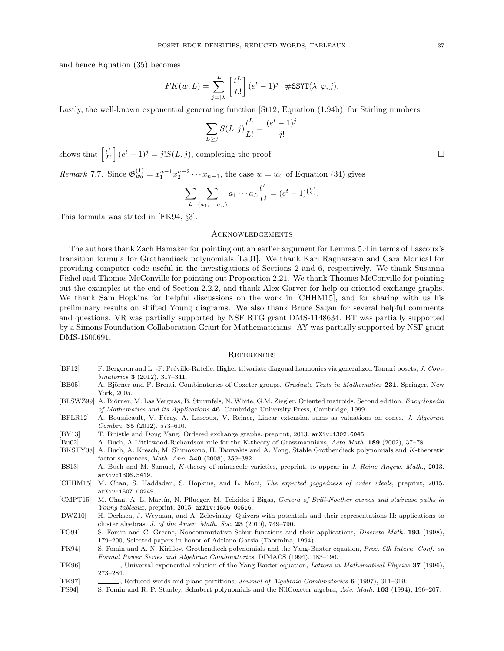and hence Equation (35) becomes

$$
FK(w, L) = \sum_{j=|\lambda|}^{L} \left[ \frac{t^L}{L!} \right] (e^t - 1)^j \cdot \# \text{SSYT}(\lambda, \varphi, j).
$$

Lastly, the well-known exponential generating function [St12, Equation (1.94b)] for Stirling numbers

$$
\sum_{L \ge j} S(L, j) \frac{t^L}{L!} = \frac{(e^t - 1)^j}{j!}
$$

shows that  $\left[\frac{t^L}{L}\right]$  $\left[\frac{t^L}{L!}\right](e^t-1)^j = j!S(L,j)$ , completing the proof.

Remark 7.7. Since  $\mathfrak{G}_{w_0}^{(1)} = x_1^{n-1} x_2^{n-2} \cdots x_{n-1}$ , the case  $w = w_0$  of Equation (34) gives

$$
\sum_{L} \sum_{(a_1,...,a_L)} a_1 \cdots a_L \frac{t^L}{L!} = (e^t - 1)^{\binom{n}{2}}.
$$

This formula was stated in [FK94, §3].

#### Acknowledgements

The authors thank Zach Hamaker for pointing out an earlier argument for Lemma 5.4 in terms of Lascoux's transition formula for Grothendieck polynomials [La01]. We thank Ka<sup>ri</sup> Ragnarsson and Cara Monical for providing computer code useful in the investigations of Sections 2 and 6, respectively. We thank Susanna Fishel and Thomas McConville for pointing out Proposition 2.21. We thank Thomas McConville for pointing out the examples at the end of Section 2.2.2, and thank Alex Garver for help on oriented exchange graphs. We thank Sam Hopkins for helpful discussions on the work in [CHHM15], and for sharing with us his preliminary results on shifted Young diagrams. We also thank Bruce Sagan for several helpful comments and questions. VR was partially supported by NSF RTG grant DMS-1148634. BT was partially supported by a Simons Foundation Collaboration Grant for Mathematicians. AY was partially supported by NSF grant DMS-1500691.

#### **REFERENCES**

- [BP12] F. Bergeron and L. -F. Préville-Ratelle, Higher trivariate diagonal harmonics via generalized Tamari posets, J. Combinatorics 3 (2012), 317–341.
- [BB05] A. Björner and F. Brenti, Combinatorics of Coxeter groups. Graduate Texts in Mathematics 231. Springer, New York, 2005.
- [BLSWZ99] A. Björner, M. Las Vergnas, B. Sturmfels, N. White, G.M. Ziegler, Oriented matroids. Second edition. Encyclopedia of Mathematics and its Applications 46. Cambridge University Press, Cambridge, 1999.
- [BFLR12] A. Boussicault, V. Féray, A. Lascoux, V. Reiner, Linear extension sums as valuations on cones. J. Algebraic Combin. 35 (2012), 573–610.
- [BY13] T. Brüstle and Dong Yang. Ordered exchange graphs, preprint, 2013. arXiv:1302.6045.
- [Bu02] A. Buch, A Littlewood-Richardson rule for the K-theory of Grassmannians, Acta Math. 189 (2002), 37–78.
- [BKSTY08] A. Buch, A. Kresch, M. Shimozono, H. Tamvakis and A. Yong, Stable Grothendieck polynomials and K-theoretic factor sequences, Math. Ann. 340 (2008), 359–382.
- [BS13] A. Buch and M. Samuel, K-theory of minuscule varieties, preprint, to appear in J. Reine Angew. Math., 2013. arXiv:1306.5419.
- [CHHM15] M. Chan, S. Haddadan, S. Hopkins, and L. Moci, The expected jaggedness of order ideals, preprint, 2015. arXiv:1507.00249.
- [CMPT15] M. Chan, A. L. Martín, N. Pflueger, M. Teixidor i Bigas, Genera of Brill-Noether curves and staircase paths in Young tableaux, preprint, 2015. arXiv:1506.00516.

[DWZ10] H. Derksen, J. Weyman, and A. Zelevinsky. Quivers with potentials and their representations II: applications to cluster algebras. J. of the Amer. Math. Soc. 23 (2010), 749–790.

[FG94] S. Fomin and C. Greene, Noncommutative Schur functions and their applications, Discrete Math. 193 (1998), 179–200, Selected papers in honor of Adriano Garsia (Taormina, 1994).

<sup>[</sup>FK94] S. Fomin and A. N. Kirillov, Grothendieck polynomials and the Yang-Baxter equation, Proc. 6th Intern. Conf. on Formal Power Series and Algebraic Combinatorics, DIMACS (1994), 183–190.

<sup>[</sup>FK96] , Universal exponential solution of the Yang-Baxter equation, Letters in Mathematical Physics 37 (1996), 273–284.

<sup>[</sup>FK97] , Reduced words and plane partitions, Journal of Algebraic Combinatorics 6 (1997), 311–319.

<sup>[</sup>FS94] S. Fomin and R. P. Stanley, Schubert polynomials and the NilCoxeter algebra, Adv. Math. 103 (1994), 196–207.